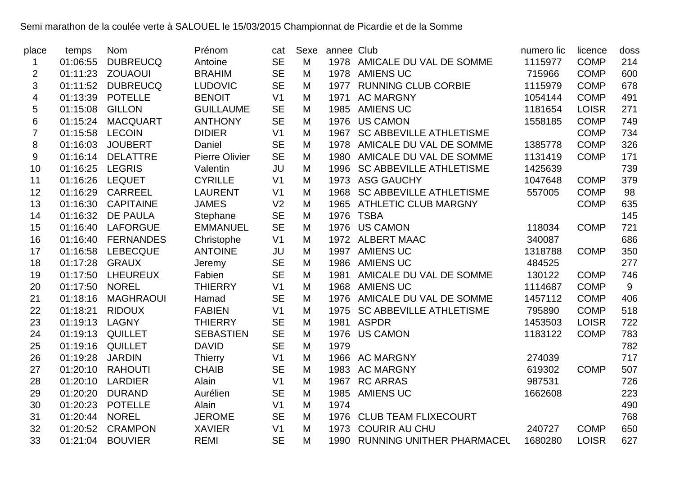## Semi marathon de la coulée verte à SALOUEL le 15/03/2015 Championnat de Picardie et de la Somme

| place          | temps           | <b>Nom</b>         | Prénom           | cat            | Sexe | annee Club |                                | numero lic | licence      | doss |
|----------------|-----------------|--------------------|------------------|----------------|------|------------|--------------------------------|------------|--------------|------|
| 1              | 01:06:55        | <b>DUBREUCQ</b>    | Antoine          | <b>SE</b>      | M    |            | 1978 AMICALE DU VAL DE SOMME   | 1115977    | <b>COMP</b>  | 214  |
| $\overline{2}$ | 01:11:23        | <b>ZOUAOUI</b>     | <b>BRAHIM</b>    | <b>SE</b>      | M    |            | 1978 AMIENS UC                 | 715966     | <b>COMP</b>  | 600  |
| 3              |                 | 01:11:52 DUBREUCQ  | <b>LUDOVIC</b>   | <b>SE</b>      | M    |            | 1977 RUNNING CLUB CORBIE       | 1115979    | <b>COMP</b>  | 678  |
| 4              | 01:13:39        | <b>POTELLE</b>     | <b>BENOIT</b>    | V <sub>1</sub> | M    |            | 1971 AC MARGNY                 | 1054144    | <b>COMP</b>  | 491  |
| 5              | 01:15:08        | <b>GILLON</b>      | <b>GUILLAUME</b> | <b>SE</b>      | M    | 1985       | <b>AMIENS UC</b>               | 1181654    | <b>LOISR</b> | 271  |
| 6              | 01:15:24        | <b>MACQUART</b>    | <b>ANTHONY</b>   | <b>SE</b>      | M    |            | 1976 US CAMON                  | 1558185    | <b>COMP</b>  | 749  |
| $\overline{7}$ | 01:15:58        | <b>LECOIN</b>      | <b>DIDIER</b>    | V <sub>1</sub> | M    | 1967       | <b>SC ABBEVILLE ATHLETISME</b> |            | <b>COMP</b>  | 734  |
| 8              | 01:16:03        | <b>JOUBERT</b>     | Daniel           | <b>SE</b>      | M    |            | 1978 AMICALE DU VAL DE SOMME   | 1385778    | <b>COMP</b>  | 326  |
| 9              | 01:16:14        | <b>DELATTRE</b>    | Pierre Olivier   | <b>SE</b>      | M    |            | 1980 AMICALE DU VAL DE SOMME   | 1131419    | <b>COMP</b>  | 171  |
| 10             | 01:16:25 LEGRIS |                    | Valentin         | JU             | M    |            | 1996 SC ABBEVILLE ATHLETISME   | 1425639    |              | 739  |
| 11             | 01:16:26        | <b>LEQUET</b>      | <b>CYRILLE</b>   | V <sub>1</sub> | M    |            | 1973 ASG GAUCHY                | 1047648    | <b>COMP</b>  | 379  |
| 12             | 01:16:29        | <b>CARREEL</b>     | <b>LAURENT</b>   | V <sub>1</sub> | M    |            | 1968 SC ABBEVILLE ATHLETISME   | 557005     | <b>COMP</b>  | 98   |
| 13             |                 | 01:16:30 CAPITAINE | <b>JAMES</b>     | V <sub>2</sub> | M    |            | 1965 ATHLETIC CLUB MARGNY      |            | <b>COMP</b>  | 635  |
| 14             | 01:16:32        | <b>DE PAULA</b>    | Stephane         | <b>SE</b>      | M    |            | 1976 TSBA                      |            |              | 145  |
| 15             | 01:16:40        | <b>LAFORGUE</b>    | <b>EMMANUEL</b>  | <b>SE</b>      | M    |            | 1976 US CAMON                  | 118034     | <b>COMP</b>  | 721  |
| 16             | 01:16:40        | <b>FERNANDES</b>   | Christophe       | V <sub>1</sub> | M    |            | 1972 ALBERT MAAC               | 340087     |              | 686  |
| 17             | 01:16:58        | <b>LEBECQUE</b>    | <b>ANTOINE</b>   | JU             | M    |            | 1997 AMIENS UC                 | 1318788    | <b>COMP</b>  | 350  |
| 18             | 01:17:28        | <b>GRAUX</b>       | Jeremy           | <b>SE</b>      | M    |            | 1986 AMIENS UC                 | 484525     |              | 277  |
| 19             | 01:17:50        | LHEUREUX           | Fabien           | <b>SE</b>      | M    |            | 1981 AMICALE DU VAL DE SOMME   | 130122     | <b>COMP</b>  | 746  |
| 20             | 01:17:50        | <b>NOREL</b>       | <b>THIERRY</b>   | V <sub>1</sub> | M    |            | 1968 AMIENS UC                 | 1114687    | <b>COMP</b>  | 9    |
| 21             | 01:18:16        | <b>MAGHRAOUI</b>   | Hamad            | <b>SE</b>      | M    |            | 1976 AMICALE DU VAL DE SOMME   | 1457112    | <b>COMP</b>  | 406  |
| 22             | 01:18:21        | <b>RIDOUX</b>      | <b>FABIEN</b>    | V <sub>1</sub> | M    |            | 1975 SC ABBEVILLE ATHLETISME   | 795890     | <b>COMP</b>  | 518  |
| 23             | 01:19:13        | LAGNY              | <b>THIERRY</b>   | <b>SE</b>      | M    |            | 1981 ASPDR                     | 1453503    | <b>LOISR</b> | 722  |
| 24             |                 | 01:19:13 QUILLET   | <b>SEBASTIEN</b> | <b>SE</b>      | M    |            | 1976 US CAMON                  | 1183122    | <b>COMP</b>  | 783  |
| 25             | 01:19:16        | <b>QUILLET</b>     | <b>DAVID</b>     | <b>SE</b>      | M    | 1979       |                                |            |              | 782  |
| 26             | 01:19:28        | <b>JARDIN</b>      | <b>Thierry</b>   | V <sub>1</sub> | M    |            | 1966 AC MARGNY                 | 274039     |              | 717  |
| 27             | 01:20:10        | <b>RAHOUTI</b>     | <b>CHAIB</b>     | <b>SE</b>      | M    | 1983       | <b>AC MARGNY</b>               | 619302     | <b>COMP</b>  | 507  |
| 28             | 01:20:10        | <b>LARDIER</b>     | Alain            | V <sub>1</sub> | M    |            | 1967 RC ARRAS                  | 987531     |              | 726  |
| 29             |                 | 01:20:20 DURAND    | Aurélien         | <b>SE</b>      | M    |            | 1985 AMIENS UC                 | 1662608    |              | 223  |
| 30             | 01:20:23        | <b>POTELLE</b>     | Alain            | V <sub>1</sub> | M    | 1974       |                                |            |              | 490  |
| 31             | 01:20:44        | <b>NOREL</b>       | <b>JEROME</b>    | <b>SE</b>      | M    |            | 1976 CLUB TEAM FLIXECOURT      |            |              | 768  |
| 32             | 01:20:52        | <b>CRAMPON</b>     | <b>XAVIER</b>    | V <sub>1</sub> | M    | 1973       | <b>COURIR AU CHU</b>           | 240727     | <b>COMP</b>  | 650  |
| 33             | 01:21:04        | <b>BOUVIER</b>     | <b>REMI</b>      | <b>SE</b>      | M    |            | 1990 RUNNING UNITHER PHARMACEL | 1680280    | <b>LOISR</b> | 627  |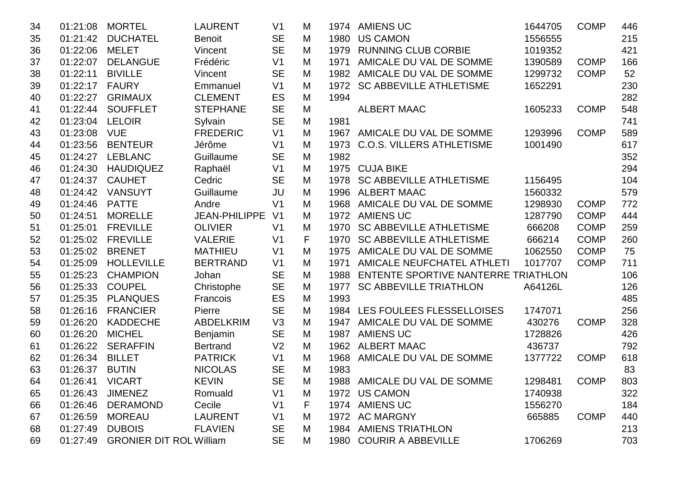| 34 | 01:21:08        | <b>MORTEL</b>                  | <b>LAURENT</b>       | V <sub>1</sub> | M |      | 1974 AMIENS UC                      | 1644705 | <b>COMP</b> | 446 |
|----|-----------------|--------------------------------|----------------------|----------------|---|------|-------------------------------------|---------|-------------|-----|
| 35 | 01:21:42        | <b>DUCHATEL</b>                | <b>Benoit</b>        | <b>SE</b>      | M | 1980 | <b>US CAMON</b>                     | 1556555 |             | 215 |
| 36 | 01:22:06        | <b>MELET</b>                   | Vincent              | <b>SE</b>      | M | 1979 | <b>RUNNING CLUB CORBIE</b>          | 1019352 |             | 421 |
| 37 | 01:22:07        | <b>DELANGUE</b>                | Frédéric             | V <sub>1</sub> | M | 1971 | AMICALE DU VAL DE SOMME             | 1390589 | <b>COMP</b> | 166 |
| 38 | 01:22:11        | <b>BIVILLE</b>                 | Vincent              | <b>SE</b>      | M |      | 1982 AMICALE DU VAL DE SOMME        | 1299732 | <b>COMP</b> | 52  |
| 39 | 01:22:17        | <b>FAURY</b>                   | Emmanuel             | V <sub>1</sub> | M | 1972 | <b>SC ABBEVILLE ATHLETISME</b>      | 1652291 |             | 230 |
| 40 | 01:22:27        | <b>GRIMAUX</b>                 | <b>CLEMENT</b>       | ES             | M | 1994 |                                     |         |             | 282 |
| 41 | 01:22:44        | <b>SOUFFLET</b>                | <b>STEPHANE</b>      | <b>SE</b>      | M |      | <b>ALBERT MAAC</b>                  | 1605233 | <b>COMP</b> | 548 |
| 42 | 01:23:04        | <b>LELOIR</b>                  | Sylvain              | <b>SE</b>      | M | 1981 |                                     |         |             | 741 |
| 43 | 01:23:08        | <b>VUE</b>                     | <b>FREDERIC</b>      | V <sub>1</sub> | M |      | 1967 AMICALE DU VAL DE SOMME        | 1293996 | <b>COMP</b> | 589 |
| 44 | 01:23:56        | <b>BENTEUR</b>                 | Jérôme               | V <sub>1</sub> | M | 1973 | <b>C.O.S. VILLERS ATHLETISME</b>    | 1001490 |             | 617 |
| 45 | 01:24:27        | <b>LEBLANC</b>                 | Guillaume            | <b>SE</b>      | M | 1982 |                                     |         |             | 352 |
| 46 | 01:24:30        | <b>HAUDIQUEZ</b>               | Raphaël              | V <sub>1</sub> | M |      | 1975 CUJA BIKE                      |         |             | 294 |
| 47 | 01:24:37        | <b>CAUHET</b>                  | Cedric               | <b>SE</b>      | M | 1978 | <b>SC ABBEVILLE ATHLETISME</b>      | 1156495 |             | 104 |
| 48 | 01:24:42        | <b>VANSUYT</b>                 | Guillaume            | JU             | M | 1996 | <b>ALBERT MAAC</b>                  | 1560332 |             | 579 |
| 49 | 01:24:46        | <b>PATTE</b>                   | Andre                | V <sub>1</sub> | M | 1968 | AMICALE DU VAL DE SOMME             | 1298930 | <b>COMP</b> | 772 |
| 50 | 01:24:51        | <b>MORELLE</b>                 | <b>JEAN-PHILIPPE</b> | V <sub>1</sub> | M |      | 1972 AMIENS UC                      | 1287790 | <b>COMP</b> | 444 |
| 51 | 01:25:01        | <b>FREVILLE</b>                | <b>OLIVIER</b>       | V <sub>1</sub> | M | 1970 | <b>SC ABBEVILLE ATHLETISME</b>      | 666208  | <b>COMP</b> | 259 |
| 52 | 01:25:02        | <b>FREVILLE</b>                | <b>VALERIE</b>       | V <sub>1</sub> | F | 1970 | <b>SC ABBEVILLE ATHLETISME</b>      | 666214  | <b>COMP</b> | 260 |
| 53 | 01:25:02        | <b>BRENET</b>                  | <b>MATHIEU</b>       | V <sub>1</sub> | M | 1975 | AMICALE DU VAL DE SOMME             | 1062550 | <b>COMP</b> | 75  |
| 54 | 01:25:09        | <b>HOLLEVILLE</b>              | <b>BERTRAND</b>      | V <sub>1</sub> | M | 1971 | AMICALE NEUFCHATEL ATHLETI          | 1017707 | <b>COMP</b> | 711 |
| 55 | 01:25:23        | <b>CHAMPION</b>                | Johan                | <b>SE</b>      | M | 1988 | ENTENTE SPORTIVE NANTERRE TRIATHLON |         |             | 106 |
| 56 | 01:25:33        | <b>COUPEL</b>                  | Christophe           | <b>SE</b>      | M | 1977 | <b>SC ABBEVILLE TRIATHLON</b>       | A64126L |             | 126 |
| 57 | 01:25:35        | <b>PLANQUES</b>                | Francois             | ES             | M | 1993 |                                     |         |             | 485 |
| 58 | 01:26:16        | <b>FRANCIER</b>                | Pierre               | <b>SE</b>      | M |      | 1984 LES FOULEES FLESSELLOISES      | 1747071 |             | 256 |
| 59 | 01:26:20        | <b>KADDECHE</b>                | <b>ABDELKRIM</b>     | V3             | M |      | 1947 AMICALE DU VAL DE SOMME        | 430276  | <b>COMP</b> | 328 |
| 60 | 01:26:20        | <b>MICHEL</b>                  | Benjamin             | <b>SE</b>      | M | 1987 | <b>AMIENS UC</b>                    | 1728826 |             | 426 |
| 61 | 01:26:22        | <b>SERAFFIN</b>                | <b>Bertrand</b>      | V <sub>2</sub> | M | 1962 | <b>ALBERT MAAC</b>                  | 436737  |             | 792 |
| 62 | 01:26:34        | <b>BILLET</b>                  | <b>PATRICK</b>       | V <sub>1</sub> | M | 1968 | AMICALE DU VAL DE SOMME             | 1377722 | <b>COMP</b> | 618 |
| 63 | 01:26:37        | <b>BUTIN</b>                   | <b>NICOLAS</b>       | <b>SE</b>      | M | 1983 |                                     |         |             | 83  |
| 64 | 01:26:41 VICART |                                | <b>KEVIN</b>         | <b>SE</b>      | M |      | 1988 AMICALE DU VAL DE SOMME        | 1298481 | <b>COMP</b> | 803 |
| 65 | 01:26:43        | <b>JIMENEZ</b>                 | Romuald              | V <sub>1</sub> | M |      | 1972 US CAMON                       | 1740938 |             | 322 |
| 66 | 01:26:46        | <b>DERAMOND</b>                | Cecile               | V <sub>1</sub> | F |      | 1974 AMIENS UC                      | 1556270 |             | 184 |
| 67 | 01:26:59        | <b>MOREAU</b>                  | <b>LAURENT</b>       | V <sub>1</sub> | M |      | 1972 AC MARGNY                      | 665885  | <b>COMP</b> | 440 |
| 68 | 01:27:49        | <b>DUBOIS</b>                  | <b>FLAVIEN</b>       | <b>SE</b>      | M |      | 1984 AMIENS TRIATHLON               |         |             | 213 |
| 69 | 01:27:49        | <b>GRONIER DIT ROL William</b> |                      | <b>SE</b>      | M |      | 1980 COURIR A ABBEVILLE             | 1706269 |             | 703 |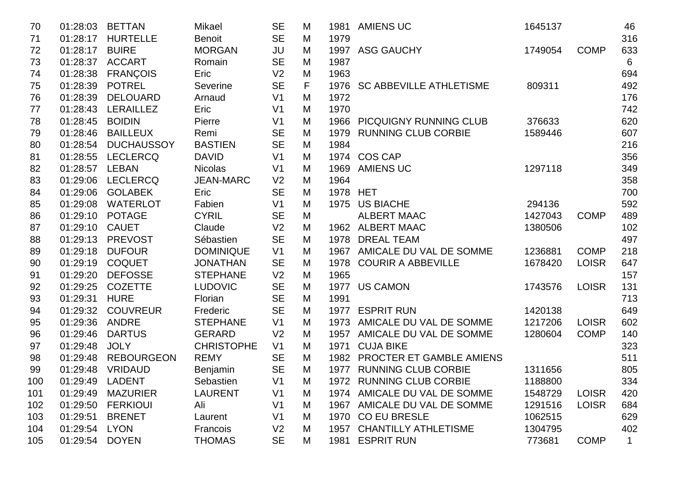| 70  | 01:28:03 | <b>BETTAN</b>     | Mikael            | <b>SE</b>      | M |          | 1981 AMIENS UC                | 1645137 |              | 46          |
|-----|----------|-------------------|-------------------|----------------|---|----------|-------------------------------|---------|--------------|-------------|
| 71  | 01:28:17 | <b>HURTELLE</b>   | <b>Benoit</b>     | <b>SE</b>      | M | 1979     |                               |         |              | 316         |
| 72  | 01:28:17 | <b>BUIRE</b>      | <b>MORGAN</b>     | JU             | M |          | 1997 ASG GAUCHY               | 1749054 | <b>COMP</b>  | 633         |
| 73  | 01:28:37 | <b>ACCART</b>     | Romain            | <b>SE</b>      | M | 1987     |                               |         |              | 6           |
| 74  | 01:28:38 | <b>FRANÇOIS</b>   | Eric              | V <sub>2</sub> | M | 1963     |                               |         |              | 694         |
| 75  | 01:28:39 | <b>POTREL</b>     | Severine          | <b>SE</b>      | F |          | 1976 SC ABBEVILLE ATHLETISME  | 809311  |              | 492         |
| 76  | 01:28:39 | <b>DELOUARD</b>   | Arnaud            | V <sub>1</sub> | M | 1972     |                               |         |              | 176         |
| 77  | 01:28:43 | <b>LERAILLEZ</b>  | Eric              | V <sub>1</sub> | M | 1970     |                               |         |              | 742         |
| 78  | 01:28:45 | <b>BOIDIN</b>     | Pierre            | V <sub>1</sub> | M |          | 1966 PICQUIGNY RUNNING CLUB   | 376633  |              | 620         |
| 79  | 01:28:46 | <b>BAILLEUX</b>   | Remi              | <b>SE</b>      | M | 1979     | <b>RUNNING CLUB CORBIE</b>    | 1589446 |              | 607         |
| 80  | 01:28:54 | <b>DUCHAUSSOY</b> | <b>BASTIEN</b>    | <b>SE</b>      | M | 1984     |                               |         |              | 216         |
| 81  | 01:28:55 | <b>LECLERCQ</b>   | <b>DAVID</b>      | V <sub>1</sub> | M |          | 1974 COS CAP                  |         |              | 356         |
| 82  | 01:28:57 | LEBAN             | <b>Nicolas</b>    | V <sub>1</sub> | M |          | 1969 AMIENS UC                | 1297118 |              | 349         |
| 83  | 01:29:06 | <b>LECLERCQ</b>   | <b>JEAN-MARC</b>  | V <sub>2</sub> | M | 1964     |                               |         |              | 358         |
| 84  | 01:29:06 | <b>GOLABEK</b>    | Eric              | <b>SE</b>      | M | 1978 HET |                               |         |              | 700         |
| 85  | 01:29:08 | <b>WATERLOT</b>   | Fabien            | V <sub>1</sub> | M |          | 1975 US BIACHE                | 294136  |              | 592         |
| 86  | 01:29:10 | <b>POTAGE</b>     | <b>CYRIL</b>      | <b>SE</b>      | M |          | <b>ALBERT MAAC</b>            | 1427043 | <b>COMP</b>  | 489         |
| 87  | 01:29:10 | <b>CAUET</b>      | Claude            | V <sub>2</sub> | M |          | 1962 ALBERT MAAC              | 1380506 |              | 102         |
| 88  | 01:29:13 | <b>PREVOST</b>    | Sébastien         | <b>SE</b>      | M | 1978     | <b>DREAL TEAM</b>             |         |              | 497         |
| 89  | 01:29:18 | <b>DUFOUR</b>     | <b>DOMINIQUE</b>  | V <sub>1</sub> | M |          | 1967 AMICALE DU VAL DE SOMME  | 1236881 | <b>COMP</b>  | 218         |
| 90  | 01:29:19 | <b>COQUET</b>     | <b>JONATHAN</b>   | <b>SE</b>      | M |          | 1978 COURIR A ABBEVILLE       | 1678420 | <b>LOISR</b> | 647         |
| 91  | 01:29:20 | <b>DEFOSSE</b>    | <b>STEPHANE</b>   | V <sub>2</sub> | M | 1965     |                               |         |              | 157         |
| 92  | 01:29:25 | <b>COZETTE</b>    | <b>LUDOVIC</b>    | <b>SE</b>      | M |          | 1977 US CAMON                 | 1743576 | <b>LOISR</b> | 131         |
| 93  | 01:29:31 | <b>HURE</b>       | Florian           | <b>SE</b>      | M | 1991     |                               |         |              | 713         |
| 94  | 01:29:32 | <b>COUVREUR</b>   | Frederic          | <b>SE</b>      | M |          | 1977 ESPRIT RUN               | 1420138 |              | 649         |
| 95  | 01:29:36 | ANDRE             | <b>STEPHANE</b>   | V <sub>1</sub> | M |          | 1973 AMICALE DU VAL DE SOMME  | 1217206 | <b>LOISR</b> | 602         |
| 96  | 01:29:46 | <b>DARTUS</b>     | <b>GERARD</b>     | V <sub>2</sub> | M |          | 1957 AMICALE DU VAL DE SOMME  | 1280604 | <b>COMP</b>  | 140         |
| 97  | 01:29:48 | <b>JOLY</b>       | <b>CHRISTOPHE</b> | V <sub>1</sub> | M | 1971     | <b>CUJA BIKE</b>              |         |              | 323         |
| 98  | 01:29:48 | <b>REBOURGEON</b> | <b>REMY</b>       | <b>SE</b>      | M |          | 1982 PROCTER ET GAMBLE AMIENS |         |              | 511         |
| 99  | 01:29:48 | <b>VRIDAUD</b>    | <b>Benjamin</b>   | <b>SE</b>      | M |          | 1977 RUNNING CLUB CORBIE      | 1311656 |              | 805         |
| 100 | 01:29:49 | LADENT            | Sebastien         | V <sub>1</sub> | M |          | 1972 RUNNING CLUB CORBIE      | 1188800 |              | 334         |
| 101 | 01:29:49 | <b>MAZURIER</b>   | <b>LAURENT</b>    | V <sub>1</sub> | M |          | 1974 AMICALE DU VAL DE SOMME  | 1548729 | <b>LOISR</b> | 420         |
| 102 | 01:29:50 | <b>FERKIOUI</b>   | Ali               | V <sub>1</sub> | M |          | 1967 AMICALE DU VAL DE SOMME  | 1291516 | <b>LOISR</b> | 684         |
| 103 | 01:29:51 | <b>BRENET</b>     | Laurent           | V <sub>1</sub> | M |          | 1970 CO EU BRESLE             | 1062515 |              | 629         |
| 104 | 01:29:54 | <b>LYON</b>       | Francois          | V <sub>2</sub> | M |          | 1957 CHANTILLY ATHLETISME     | 1304795 |              | 402         |
| 105 | 01:29:54 | <b>DOYEN</b>      | <b>THOMAS</b>     | <b>SE</b>      | М |          | 1981 ESPRIT RUN               | 773681  | <b>COMP</b>  | $\mathbf 1$ |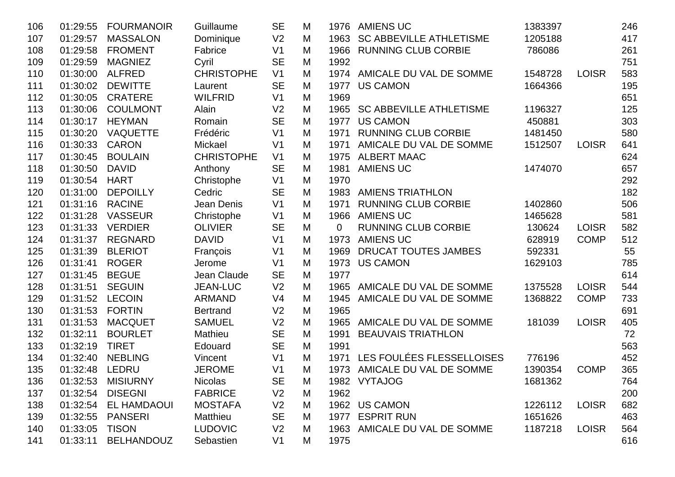| 106 | 01:29:55 | <b>FOURMANOIR</b>  | Guillaume         | <b>SE</b>      | M | 1976 | <b>AMIENS UC</b>               | 1383397 |              | 246 |
|-----|----------|--------------------|-------------------|----------------|---|------|--------------------------------|---------|--------------|-----|
| 107 | 01:29:57 | <b>MASSALON</b>    | Dominique         | V <sub>2</sub> | M | 1963 | <b>SC ABBEVILLE ATHLETISME</b> | 1205188 |              | 417 |
| 108 | 01:29:58 | <b>FROMENT</b>     | Fabrice           | V <sub>1</sub> | M | 1966 | <b>RUNNING CLUB CORBIE</b>     | 786086  |              | 261 |
| 109 | 01:29:59 | <b>MAGNIEZ</b>     | Cyril             | <b>SE</b>      | M | 1992 |                                |         |              | 751 |
| 110 | 01:30:00 | <b>ALFRED</b>      | <b>CHRISTOPHE</b> | V <sub>1</sub> | M |      | 1974 AMICALE DU VAL DE SOMME   | 1548728 | <b>LOISR</b> | 583 |
| 111 | 01:30:02 | <b>DEWITTE</b>     | Laurent           | <b>SE</b>      | M | 1977 | <b>US CAMON</b>                | 1664366 |              | 195 |
| 112 | 01:30:05 | <b>CRATERE</b>     | <b>WILFRID</b>    | V <sub>1</sub> | M | 1969 |                                |         |              | 651 |
| 113 | 01:30:06 | <b>COULMONT</b>    | Alain             | V <sub>2</sub> | M | 1965 | <b>SC ABBEVILLE ATHLETISME</b> | 1196327 |              | 125 |
| 114 | 01:30:17 | <b>HEYMAN</b>      | Romain            | <b>SE</b>      | M | 1977 | <b>US CAMON</b>                | 450881  |              | 303 |
| 115 | 01:30:20 | <b>VAQUETTE</b>    | Frédéric          | V <sub>1</sub> | M | 1971 | <b>RUNNING CLUB CORBIE</b>     | 1481450 |              | 580 |
| 116 | 01:30:33 | <b>CARON</b>       | Mickael           | V <sub>1</sub> | M | 1971 | AMICALE DU VAL DE SOMME        | 1512507 | <b>LOISR</b> | 641 |
| 117 | 01:30:45 | <b>BOULAIN</b>     | <b>CHRISTOPHE</b> | V <sub>1</sub> | M | 1975 | <b>ALBERT MAAC</b>             |         |              | 624 |
| 118 | 01:30:50 | <b>DAVID</b>       | Anthony           | <b>SE</b>      | M | 1981 | <b>AMIENS UC</b>               | 1474070 |              | 657 |
| 119 | 01:30:54 | <b>HART</b>        | Christophe        | V <sub>1</sub> | M | 1970 |                                |         |              | 292 |
| 120 | 01:31:00 | <b>DEPOILLY</b>    | Cedric            | <b>SE</b>      | M | 1983 | <b>AMIENS TRIATHLON</b>        |         |              | 182 |
| 121 | 01:31:16 | <b>RACINE</b>      | Jean Denis        | V <sub>1</sub> | M | 1971 | <b>RUNNING CLUB CORBIE</b>     | 1402860 |              | 506 |
| 122 | 01:31:28 | <b>VASSEUR</b>     | Christophe        | V <sub>1</sub> | M |      | 1966 AMIENS UC                 | 1465628 |              | 581 |
| 123 | 01:31:33 | <b>VERDIER</b>     | <b>OLIVIER</b>    | <b>SE</b>      | M | 0    | <b>RUNNING CLUB CORBIE</b>     | 130624  | <b>LOISR</b> | 582 |
| 124 | 01:31:37 | <b>REGNARD</b>     | <b>DAVID</b>      | V <sub>1</sub> | M | 1973 | <b>AMIENS UC</b>               | 628919  | <b>COMP</b>  | 512 |
| 125 | 01:31:39 | <b>BLERIOT</b>     | François          | V <sub>1</sub> | M | 1969 | DRUCAT TOUTES JAMBES           | 592331  |              | 55  |
| 126 | 01:31:41 | <b>ROGER</b>       | Jerome            | V <sub>1</sub> | M | 1973 | <b>US CAMON</b>                | 1629103 |              | 785 |
| 127 | 01:31:45 | <b>BEGUE</b>       | Jean Claude       | <b>SE</b>      | M | 1977 |                                |         |              | 614 |
| 128 | 01:31:51 | <b>SEGUIN</b>      | <b>JEAN-LUC</b>   | V <sub>2</sub> | M | 1965 | AMICALE DU VAL DE SOMME        | 1375528 | <b>LOISR</b> | 544 |
| 129 | 01:31:52 | <b>LECOIN</b>      | <b>ARMAND</b>     | V <sub>4</sub> | M | 1945 | AMICALE DU VAL DE SOMME        | 1368822 | <b>COMP</b>  | 733 |
| 130 | 01:31:53 | <b>FORTIN</b>      | <b>Bertrand</b>   | V <sub>2</sub> | M | 1965 |                                |         |              | 691 |
| 131 | 01:31:53 | <b>MACQUET</b>     | <b>SAMUEL</b>     | V <sub>2</sub> | M | 1965 | AMICALE DU VAL DE SOMME        | 181039  | <b>LOISR</b> | 405 |
| 132 | 01:32:11 | <b>BOURLET</b>     | Mathieu           | <b>SE</b>      | M | 1991 | <b>BEAUVAIS TRIATHLON</b>      |         |              | 72  |
| 133 | 01:32:19 | <b>TIRET</b>       | Edouard           | <b>SE</b>      | M | 1991 |                                |         |              | 563 |
| 134 | 01:32:40 | <b>NEBLING</b>     | Vincent           | V <sub>1</sub> | M | 1971 | LES FOULÉES FLESSELLOISES      | 776196  |              | 452 |
| 135 | 01:32:48 | LEDRU              | <b>JEROME</b>     | V <sub>1</sub> | M |      | 1973 AMICALE DU VAL DE SOMME   | 1390354 | <b>COMP</b>  | 365 |
| 136 | 01:32:53 | <b>MISIURNY</b>    | <b>Nicolas</b>    | <b>SE</b>      | M |      | 1982 VYTAJOG                   | 1681362 |              | 764 |
| 137 | 01:32:54 | <b>DISEGNI</b>     | <b>FABRICE</b>    | V <sub>2</sub> | M | 1962 |                                |         |              | 200 |
| 138 | 01:32:54 | <b>EL HAMDAOUI</b> | <b>MOSTAFA</b>    | V <sub>2</sub> | M |      | 1962 US CAMON                  | 1226112 | <b>LOISR</b> | 682 |
| 139 | 01:32:55 | <b>PANSERI</b>     | Matthieu          | <b>SE</b>      | M |      | 1977 ESPRIT RUN                | 1651626 |              | 463 |
| 140 | 01:33:05 | <b>TISON</b>       | <b>LUDOVIC</b>    | V <sub>2</sub> | M |      | 1963 AMICALE DU VAL DE SOMME   | 1187218 | <b>LOISR</b> | 564 |
| 141 | 01:33:11 | <b>BELHANDOUZ</b>  | Sebastien         | V <sub>1</sub> | М | 1975 |                                |         |              | 616 |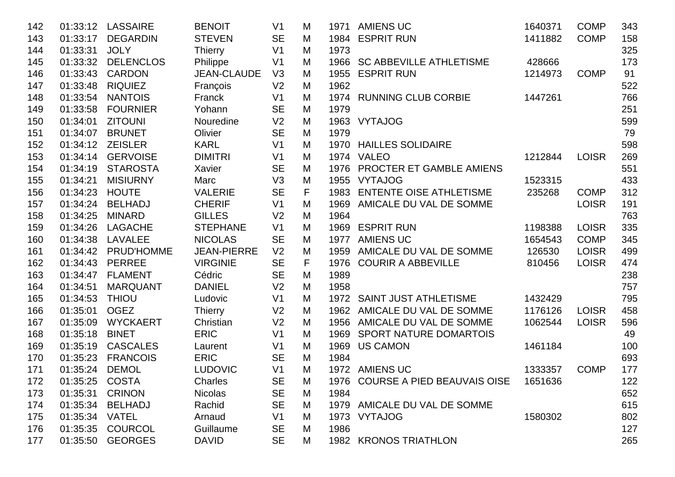| 142 | 01:33:12       | <b>LASSAIRE</b>  | <b>BENOIT</b>      | V <sub>1</sub> | M |      | 1971 AMIENS UC                           | 1640371 | <b>COMP</b>  | 343 |
|-----|----------------|------------------|--------------------|----------------|---|------|------------------------------------------|---------|--------------|-----|
| 143 | 01:33:17       | <b>DEGARDIN</b>  | <b>STEVEN</b>      | <b>SE</b>      | M |      | 1984 ESPRIT RUN                          | 1411882 | <b>COMP</b>  | 158 |
| 144 | 01:33:31       | <b>JOLY</b>      | <b>Thierry</b>     | V <sub>1</sub> | M | 1973 |                                          |         |              | 325 |
| 145 | 01:33:32       | <b>DELENCLOS</b> | Philippe           | V <sub>1</sub> | M |      | 1966 SC ABBEVILLE ATHLETISME             | 428666  |              | 173 |
| 146 | 01:33:43       | <b>CARDON</b>    | <b>JEAN-CLAUDE</b> | V3             | M |      | 1955 ESPRIT RUN                          | 1214973 | <b>COMP</b>  | 91  |
| 147 | 01:33:48       | <b>RIQUIEZ</b>   | François           | V <sub>2</sub> | M | 1962 |                                          |         |              | 522 |
| 148 | 01:33:54       | <b>NANTOIS</b>   | Franck             | V <sub>1</sub> | M |      | 1974 RUNNING CLUB CORBIE                 | 1447261 |              | 766 |
| 149 | 01:33:58       | <b>FOURNIER</b>  | Yohann             | <b>SE</b>      | M | 1979 |                                          |         |              | 251 |
| 150 | 01:34:01       | <b>ZITOUNI</b>   | Nouredine          | V <sub>2</sub> | M |      | 1963 VYTAJOG                             |         |              | 599 |
| 151 | 01:34:07       | <b>BRUNET</b>    | Olivier            | <b>SE</b>      | M | 1979 |                                          |         |              | 79  |
| 152 | 01:34:12       | <b>ZEISLER</b>   | <b>KARL</b>        | V <sub>1</sub> | M | 1970 | <b>HAILLES SOLIDAIRE</b>                 |         |              | 598 |
| 153 | 01:34:14       | <b>GERVOISE</b>  | <b>DIMITRI</b>     | V <sub>1</sub> | M |      | 1974 VALEO                               | 1212844 | <b>LOISR</b> | 269 |
| 154 | 01:34:19       | <b>STAROSTA</b>  | Xavier             | <b>SE</b>      | M | 1976 | <b>PROCTER ET GAMBLE AMIENS</b>          |         |              | 551 |
| 155 | 01:34:21       | <b>MISIURNY</b>  | Marc               | V3             | M | 1955 | <b>VYTAJOG</b>                           | 1523315 |              | 433 |
| 156 | 01:34:23       | <b>HOUTE</b>     | <b>VALERIE</b>     | <b>SE</b>      | F | 1983 | <b>ENTENTE OISE ATHLETISME</b>           | 235268  | <b>COMP</b>  | 312 |
| 157 | 01:34:24       | <b>BELHADJ</b>   | <b>CHERIF</b>      | V <sub>1</sub> | M | 1969 | AMICALE DU VAL DE SOMME                  |         | <b>LOISR</b> | 191 |
| 158 | 01:34:25       | <b>MINARD</b>    | <b>GILLES</b>      | V <sub>2</sub> | M | 1964 |                                          |         |              | 763 |
| 159 | 01:34:26       | <b>LAGACHE</b>   | <b>STEPHANE</b>    | V <sub>1</sub> | M |      | 1969 ESPRIT RUN                          | 1198388 | <b>LOISR</b> | 335 |
| 160 | 01:34:38       | LAVALEE          | <b>NICOLAS</b>     | <b>SE</b>      | M | 1977 | <b>AMIENS UC</b>                         | 1654543 | <b>COMP</b>  | 345 |
| 161 | 01:34:42       | PRUD'HOMME       | <b>JEAN-PIERRE</b> | V <sub>2</sub> | M | 1959 | AMICALE DU VAL DE SOMME                  | 126530  | <b>LOISR</b> | 499 |
| 162 | 01:34:43       | <b>PERREE</b>    | <b>VIRGINIE</b>    | <b>SE</b>      | F | 1976 | <b>COURIR A ABBEVILLE</b>                | 810456  | <b>LOISR</b> | 474 |
| 163 | 01:34:47       | <b>FLAMENT</b>   | Cédric             | <b>SE</b>      | M | 1989 |                                          |         |              | 238 |
| 164 | 01:34:51       | <b>MARQUANT</b>  | <b>DANIEL</b>      | V <sub>2</sub> | M | 1958 |                                          |         |              | 757 |
| 165 | 01:34:53       | <b>THIOU</b>     | Ludovic            | V <sub>1</sub> | M |      | 1972 SAINT JUST ATHLETISME               | 1432429 |              | 795 |
| 166 | 01:35:01       | <b>OGEZ</b>      | <b>Thierry</b>     | V <sub>2</sub> | M | 1962 | AMICALE DU VAL DE SOMME                  | 1176126 | <b>LOISR</b> | 458 |
| 167 | 01:35:09       | <b>WYCKAERT</b>  | Christian          | V <sub>2</sub> | M |      | 1956 AMICALE DU VAL DE SOMME             | 1062544 | <b>LOISR</b> | 596 |
| 168 | 01:35:18       | <b>BINET</b>     | <b>ERIC</b>        | V <sub>1</sub> | M | 1969 | <b>SPORT NATURE DOMARTOIS</b>            |         |              | 49  |
| 169 | 01:35:19       | <b>CASCALES</b>  | Laurent            | V <sub>1</sub> | M | 1969 | <b>US CAMON</b>                          | 1461184 |              | 100 |
| 170 | 01:35:23       | <b>FRANCOIS</b>  | <b>ERIC</b>        | <b>SE</b>      | M | 1984 |                                          |         |              | 693 |
| 171 | 01:35:24       | <b>DEMOL</b>     | <b>LUDOVIC</b>     | V <sub>1</sub> | M |      | 1972 AMIENS UC                           | 1333357 | <b>COMP</b>  | 177 |
| 172 | 01:35:25 COSTA |                  | Charles            | <b>SE</b>      | M |      | 1976 COURSE A PIED BEAUVAIS OISE 1651636 |         |              | 122 |
| 173 | 01:35:31       | <b>CRINON</b>    | <b>Nicolas</b>     | <b>SE</b>      | M | 1984 |                                          |         |              | 652 |
| 174 | 01:35:34       | <b>BELHADJ</b>   | Rachid             | <b>SE</b>      | М |      | 1979 AMICALE DU VAL DE SOMME             |         |              | 615 |
| 175 | 01:35:34       | VATEL            | Arnaud             | V <sub>1</sub> | М |      | 1973 VYTAJOG                             | 1580302 |              | 802 |
| 176 | 01:35:35       | <b>COURCOL</b>   | Guillaume          | <b>SE</b>      | M | 1986 |                                          |         |              | 127 |
| 177 | 01:35:50       | <b>GEORGES</b>   | <b>DAVID</b>       | <b>SE</b>      | M |      | 1982 KRONOS TRIATHLON                    |         |              | 265 |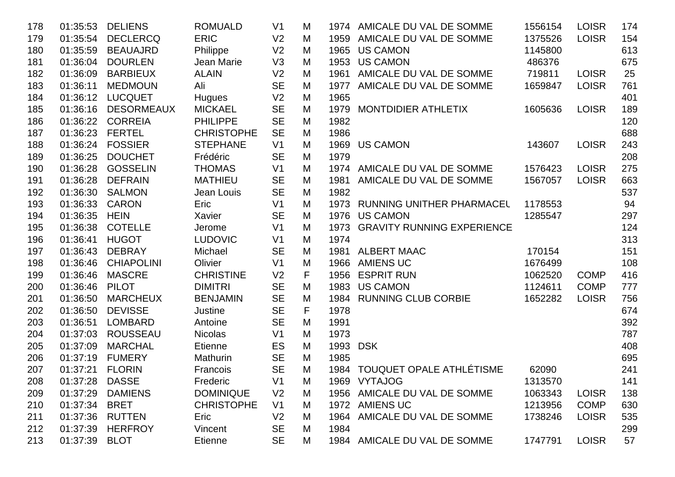| 178 | 01:35:53       | <b>DELIENS</b>    | <b>ROMUALD</b>    | V <sub>1</sub> | M |      | 1974 AMICALE DU VAL DE SOMME    | 1556154 | <b>LOISR</b> | 174 |
|-----|----------------|-------------------|-------------------|----------------|---|------|---------------------------------|---------|--------------|-----|
| 179 | 01:35:54       | <b>DECLERCQ</b>   | <b>ERIC</b>       | V <sub>2</sub> | M |      | 1959 AMICALE DU VAL DE SOMME    | 1375526 | <b>LOISR</b> | 154 |
| 180 | 01:35:59       | <b>BEAUAJRD</b>   | Philippe          | V <sub>2</sub> | M | 1965 | <b>US CAMON</b>                 | 1145800 |              | 613 |
| 181 | 01:36:04       | <b>DOURLEN</b>    | Jean Marie        | V3             | M | 1953 | <b>US CAMON</b>                 | 486376  |              | 675 |
| 182 | 01:36:09       | <b>BARBIEUX</b>   | <b>ALAIN</b>      | V <sub>2</sub> | M |      | 1961 AMICALE DU VAL DE SOMME    | 719811  | <b>LOISR</b> | 25  |
| 183 | 01:36:11       | <b>MEDMOUN</b>    | Ali               | <b>SE</b>      | M |      | 1977 AMICALE DU VAL DE SOMME    | 1659847 | <b>LOISR</b> | 761 |
| 184 | 01:36:12       | <b>LUCQUET</b>    | Hugues            | V <sub>2</sub> | M | 1965 |                                 |         |              | 401 |
| 185 | 01:36:16       | <b>DESORMEAUX</b> | <b>MICKAEL</b>    | <b>SE</b>      | M | 1979 | MONTDIDIER ATHLETIX             | 1605636 | <b>LOISR</b> | 189 |
| 186 | 01:36:22       | <b>CORREIA</b>    | <b>PHILIPPE</b>   | <b>SE</b>      | M | 1982 |                                 |         |              | 120 |
| 187 | 01:36:23       | <b>FERTEL</b>     | <b>CHRISTOPHE</b> | <b>SE</b>      | M | 1986 |                                 |         |              | 688 |
| 188 | 01:36:24       | <b>FOSSIER</b>    | <b>STEPHANE</b>   | V <sub>1</sub> | M | 1969 | <b>US CAMON</b>                 | 143607  | <b>LOISR</b> | 243 |
| 189 | 01:36:25       | <b>DOUCHET</b>    | Frédéric          | <b>SE</b>      | M | 1979 |                                 |         |              | 208 |
| 190 | 01:36:28       | <b>GOSSELIN</b>   | <b>THOMAS</b>     | V <sub>1</sub> | M |      | 1974 AMICALE DU VAL DE SOMME    | 1576423 | <b>LOISR</b> | 275 |
| 191 | 01:36:28       | <b>DEFRAIN</b>    | <b>MATHIEU</b>    | <b>SE</b>      | M |      | 1981 AMICALE DU VAL DE SOMME    | 1567057 | <b>LOISR</b> | 663 |
| 192 | 01:36:30       | <b>SALMON</b>     | Jean Louis        | <b>SE</b>      | M | 1982 |                                 |         |              | 537 |
| 193 | 01:36:33       | <b>CARON</b>      | Eric              | V <sub>1</sub> | M |      | 1973 RUNNING UNITHER PHARMACEL  | 1178553 |              | 94  |
| 194 | 01:36:35       | <b>HEIN</b>       | Xavier            | <b>SE</b>      | M |      | 1976 US CAMON                   | 1285547 |              | 297 |
| 195 | 01:36:38       | <b>COTELLE</b>    | Jerome            | V <sub>1</sub> | M |      | 1973 GRAVITY RUNNING EXPERIENCE |         |              | 124 |
| 196 | 01:36:41       | <b>HUGOT</b>      | <b>LUDOVIC</b>    | V <sub>1</sub> | M | 1974 |                                 |         |              | 313 |
| 197 | 01:36:43       | <b>DEBRAY</b>     | Michael           | <b>SE</b>      | M |      | 1981 ALBERT MAAC                | 170154  |              | 151 |
| 198 | 01:36:46       | <b>CHIAPOLINI</b> | Olivier           | V <sub>1</sub> | M | 1966 | <b>AMIENS UC</b>                | 1676499 |              | 108 |
| 199 | 01:36:46       | <b>MASCRE</b>     | <b>CHRISTINE</b>  | V <sub>2</sub> | F |      | 1956 ESPRIT RUN                 | 1062520 | <b>COMP</b>  | 416 |
| 200 | 01:36:46       | <b>PILOT</b>      | <b>DIMITRI</b>    | <b>SE</b>      | M | 1983 | <b>US CAMON</b>                 | 1124611 | <b>COMP</b>  | 777 |
| 201 | 01:36:50       | <b>MARCHEUX</b>   | <b>BENJAMIN</b>   | <b>SE</b>      | M | 1984 | <b>RUNNING CLUB CORBIE</b>      | 1652282 | <b>LOISR</b> | 756 |
| 202 | 01:36:50       | <b>DEVISSE</b>    | Justine           | <b>SE</b>      | F | 1978 |                                 |         |              | 674 |
| 203 | 01:36:51       | <b>LOMBARD</b>    | Antoine           | <b>SE</b>      | M | 1991 |                                 |         |              | 392 |
| 204 | 01:37:03       | <b>ROUSSEAU</b>   | <b>Nicolas</b>    | V <sub>1</sub> | M | 1973 |                                 |         |              | 787 |
| 205 | 01:37:09       | <b>MARCHAL</b>    | <b>Etienne</b>    | ES             | M | 1993 | <b>DSK</b>                      |         |              | 408 |
| 206 | 01:37:19       | <b>FUMERY</b>     | Mathurin          | <b>SE</b>      | M | 1985 |                                 |         |              | 695 |
| 207 | 01:37:21       | <b>FLORIN</b>     | Francois          | <b>SE</b>      | M |      | 1984 TOUQUET OPALE ATHLÉTISME   | 62090   |              | 241 |
| 208 | 01:37:28 DASSE |                   | Frederic          | V1             | M |      | 1969 VYTAJOG                    | 1313570 |              | 141 |
| 209 | 01:37:29       | <b>DAMIENS</b>    | <b>DOMINIQUE</b>  | V <sub>2</sub> | M |      | 1956 AMICALE DU VAL DE SOMME    | 1063343 | <b>LOISR</b> | 138 |
| 210 | 01:37:34       | <b>BRET</b>       | <b>CHRISTOPHE</b> | V <sub>1</sub> | M |      | 1972 AMIENS UC                  | 1213956 | <b>COMP</b>  | 630 |
| 211 | 01:37:36       | <b>RUTTEN</b>     | Eric              | V <sub>2</sub> | M |      | 1964 AMICALE DU VAL DE SOMME    | 1738246 | <b>LOISR</b> | 535 |
| 212 | 01:37:39       | <b>HERFROY</b>    | Vincent           | <b>SE</b>      | M | 1984 |                                 |         |              | 299 |
| 213 | 01:37:39       | <b>BLOT</b>       | <b>Etienne</b>    | <b>SE</b>      | M |      | 1984 AMICALE DU VAL DE SOMME    | 1747791 | <b>LOISR</b> | 57  |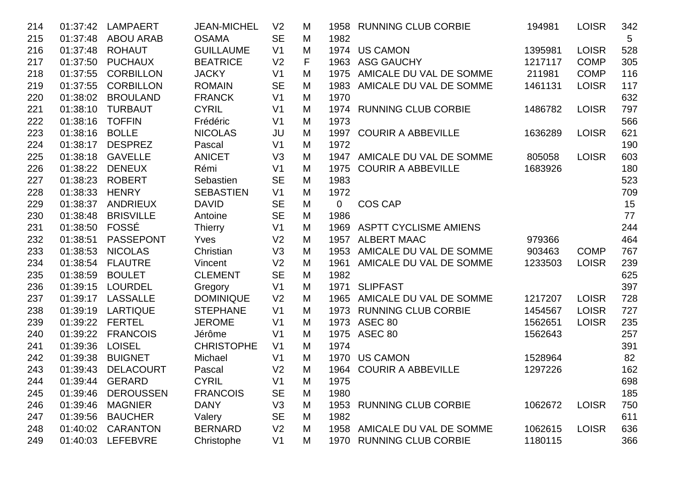| 214 | 01:37:42 | <b>LAMPAERT</b>  | <b>JEAN-MICHEL</b> | V <sub>2</sub> | M |      | 1958 RUNNING CLUB CORBIE     | 194981  | <b>LOISR</b> | 342             |
|-----|----------|------------------|--------------------|----------------|---|------|------------------------------|---------|--------------|-----------------|
| 215 | 01:37:48 | <b>ABOU ARAB</b> | <b>OSAMA</b>       | <b>SE</b>      | M | 1982 |                              |         |              | $5\phantom{.0}$ |
| 216 | 01:37:48 | <b>ROHAUT</b>    | <b>GUILLAUME</b>   | V <sub>1</sub> | M |      | 1974 US CAMON                | 1395981 | <b>LOISR</b> | 528             |
| 217 | 01:37:50 | <b>PUCHAUX</b>   | <b>BEATRICE</b>    | V <sub>2</sub> | F |      | 1963 ASG GAUCHY              | 1217117 | <b>COMP</b>  | 305             |
| 218 | 01:37:55 | <b>CORBILLON</b> | <b>JACKY</b>       | V <sub>1</sub> | M |      | 1975 AMICALE DU VAL DE SOMME | 211981  | <b>COMP</b>  | 116             |
| 219 | 01:37:55 | <b>CORBILLON</b> | <b>ROMAIN</b>      | <b>SE</b>      | M |      | 1983 AMICALE DU VAL DE SOMME | 1461131 | <b>LOISR</b> | 117             |
| 220 | 01:38:02 | <b>BROULAND</b>  | <b>FRANCK</b>      | V <sub>1</sub> | M | 1970 |                              |         |              | 632             |
| 221 | 01:38:10 | <b>TURBAUT</b>   | <b>CYRIL</b>       | V <sub>1</sub> | M |      | 1974 RUNNING CLUB CORBIE     | 1486782 | <b>LOISR</b> | 797             |
| 222 | 01:38:16 | <b>TOFFIN</b>    | Frédéric           | V <sub>1</sub> | M | 1973 |                              |         |              | 566             |
| 223 | 01:38:16 | <b>BOLLE</b>     | <b>NICOLAS</b>     | JU             | M |      | 1997 COURIR A ABBEVILLE      | 1636289 | <b>LOISR</b> | 621             |
| 224 | 01:38:17 | <b>DESPREZ</b>   | Pascal             | V <sub>1</sub> | M | 1972 |                              |         |              | 190             |
| 225 | 01:38:18 | <b>GAVELLE</b>   | <b>ANICET</b>      | V3             | M | 1947 | AMICALE DU VAL DE SOMME      | 805058  | <b>LOISR</b> | 603             |
| 226 | 01:38:22 | <b>DENEUX</b>    | Rémi               | V <sub>1</sub> | M | 1975 | <b>COURIR A ABBEVILLE</b>    | 1683926 |              | 180             |
| 227 | 01:38:23 | <b>ROBERT</b>    | Sebastien          | <b>SE</b>      | M | 1983 |                              |         |              | 523             |
| 228 | 01:38:33 | <b>HENRY</b>     | <b>SEBASTIEN</b>   | V <sub>1</sub> | M | 1972 |                              |         |              | 709             |
| 229 | 01:38:37 | <b>ANDRIEUX</b>  | <b>DAVID</b>       | <b>SE</b>      | M | 0    | <b>COS CAP</b>               |         |              | 15              |
| 230 | 01:38:48 | <b>BRISVILLE</b> | Antoine            | <b>SE</b>      | M | 1986 |                              |         |              | 77              |
| 231 | 01:38:50 | FOSSÉ            | <b>Thierry</b>     | V <sub>1</sub> | M |      | 1969 ASPTT CYCLISME AMIENS   |         |              | 244             |
| 232 | 01:38:51 | <b>PASSEPONT</b> | Yves               | V <sub>2</sub> | M |      | 1957 ALBERT MAAC             | 979366  |              | 464             |
| 233 | 01:38:53 | <b>NICOLAS</b>   | Christian          | V <sub>3</sub> | M | 1953 | AMICALE DU VAL DE SOMME      | 903463  | <b>COMP</b>  | 767             |
| 234 | 01:38:54 | <b>FLAUTRE</b>   | Vincent            | V <sub>2</sub> | M | 1961 | AMICALE DU VAL DE SOMME      | 1233503 | <b>LOISR</b> | 239             |
| 235 | 01:38:59 | <b>BOULET</b>    | <b>CLEMENT</b>     | <b>SE</b>      | M | 1982 |                              |         |              | 625             |
| 236 | 01:39:15 | <b>LOURDEL</b>   | Gregory            | V <sub>1</sub> | M |      | 1971 SLIPFAST                |         |              | 397             |
| 237 | 01:39:17 | <b>LASSALLE</b>  | <b>DOMINIQUE</b>   | V <sub>2</sub> | M |      | 1965 AMICALE DU VAL DE SOMME | 1217207 | <b>LOISR</b> | 728             |
| 238 | 01:39:19 | <b>LARTIQUE</b>  | <b>STEPHANE</b>    | V <sub>1</sub> | M |      | 1973 RUNNING CLUB CORBIE     | 1454567 | <b>LOISR</b> | 727             |
| 239 | 01:39:22 | <b>FERTEL</b>    | <b>JEROME</b>      | V <sub>1</sub> | M |      | 1973 ASEC 80                 | 1562651 | <b>LOISR</b> | 235             |
| 240 | 01:39:22 | <b>FRANCOIS</b>  | Jérôme             | V <sub>1</sub> | M |      | 1975 ASEC 80                 | 1562643 |              | 257             |
| 241 | 01:39:36 | <b>LOISEL</b>    | <b>CHRISTOPHE</b>  | V <sub>1</sub> | M | 1974 |                              |         |              | 391             |
| 242 | 01:39:38 | <b>BUIGNET</b>   | Michael            | V <sub>1</sub> | M |      | 1970 US CAMON                | 1528964 |              | 82              |
| 243 | 01:39:43 | <b>DELACOURT</b> | Pascal             | V <sub>2</sub> | M |      | 1964 COURIR A ABBEVILLE      | 1297226 |              | 162             |
| 244 |          | 01:39:44 GERARD  | <b>CYRIL</b>       | V <sub>1</sub> | M | 1975 |                              |         |              | 698             |
| 245 | 01:39:46 | <b>DEROUSSEN</b> | <b>FRANCOIS</b>    | <b>SE</b>      | M | 1980 |                              |         |              | 185             |
| 246 | 01:39:46 | <b>MAGNIER</b>   | <b>DANY</b>        | V3             | M |      | 1953 RUNNING CLUB CORBIE     | 1062672 | <b>LOISR</b> | 750             |
| 247 | 01:39:56 | <b>BAUCHER</b>   | Valery             | <b>SE</b>      | M | 1982 |                              |         |              | 611             |
| 248 | 01:40:02 | <b>CARANTON</b>  | <b>BERNARD</b>     | V <sub>2</sub> | M |      | 1958 AMICALE DU VAL DE SOMME | 1062615 | <b>LOISR</b> | 636             |
| 249 | 01:40:03 | <b>LEFEBVRE</b>  | Christophe         | V <sub>1</sub> | M |      | 1970 RUNNING CLUB CORBIE     | 1180115 |              | 366             |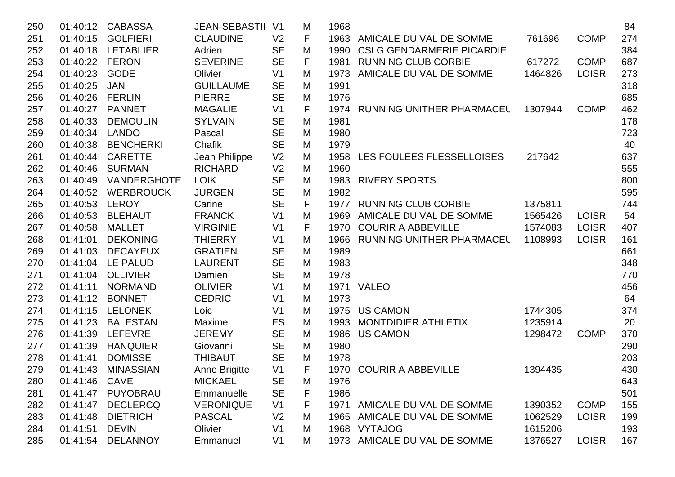| 250 | 01:40:12      | <b>CABASSA</b>     | <b>JEAN-SEBASTII</b> | V <sub>1</sub> | M | 1968 |                                  |         |              | 84  |
|-----|---------------|--------------------|----------------------|----------------|---|------|----------------------------------|---------|--------------|-----|
| 251 | 01:40:15      | <b>GOLFIERI</b>    | <b>CLAUDINE</b>      | V <sub>2</sub> | F | 1963 | AMICALE DU VAL DE SOMME          | 761696  | <b>COMP</b>  | 274 |
| 252 | 01:40:18      | <b>LETABLIER</b>   | Adrien               | <b>SE</b>      | M | 1990 | <b>CSLG GENDARMERIE PICARDIE</b> |         |              | 384 |
| 253 | 01:40:22      | <b>FERON</b>       | <b>SEVERINE</b>      | <b>SE</b>      | F | 1981 | <b>RUNNING CLUB CORBIE</b>       | 617272  | <b>COMP</b>  | 687 |
| 254 | 01:40:23      | <b>GODE</b>        | Olivier              | V <sub>1</sub> | M | 1973 | AMICALE DU VAL DE SOMME          | 1464826 | <b>LOISR</b> | 273 |
| 255 | 01:40:25      | <b>JAN</b>         | <b>GUILLAUME</b>     | <b>SE</b>      | M | 1991 |                                  |         |              | 318 |
| 256 | 01:40:26      | <b>FERLIN</b>      | <b>PIERRE</b>        | <b>SE</b>      | M | 1976 |                                  |         |              | 685 |
| 257 | 01:40:27      | <b>PANNET</b>      | <b>MAGALIE</b>       | V <sub>1</sub> | F |      | 1974 RUNNING UNITHER PHARMACEL   | 1307944 | <b>COMP</b>  | 462 |
| 258 | 01:40:33      | <b>DEMOULIN</b>    | <b>SYLVAIN</b>       | <b>SE</b>      | M | 1981 |                                  |         |              | 178 |
| 259 | 01:40:34      | <b>LANDO</b>       | Pascal               | <b>SE</b>      | M | 1980 |                                  |         |              | 723 |
| 260 | 01:40:38      | <b>BENCHERKI</b>   | Chafik               | <b>SE</b>      | M | 1979 |                                  |         |              | 40  |
| 261 | 01:40:44      | <b>CARETTE</b>     | Jean Philippe        | V <sub>2</sub> | M | 1958 | LES FOULEES FLESSELLOISES        | 217642  |              | 637 |
| 262 | 01:40:46      | <b>SURMAN</b>      | <b>RICHARD</b>       | V <sub>2</sub> | M | 1960 |                                  |         |              | 555 |
| 263 | 01:40:49      | <b>VANDERGHOTE</b> | <b>LOIK</b>          | <b>SE</b>      | M | 1983 | <b>RIVERY SPORTS</b>             |         |              | 800 |
| 264 | 01:40:52      | <b>WERBROUCK</b>   | <b>JURGEN</b>        | <b>SE</b>      | M | 1982 |                                  |         |              | 595 |
| 265 | 01:40:53      | <b>LEROY</b>       | Carine               | <b>SE</b>      | F |      | 1977 RUNNING CLUB CORBIE         | 1375811 |              | 744 |
| 266 | 01:40:53      | <b>BLEHAUT</b>     | <b>FRANCK</b>        | V <sub>1</sub> | M | 1969 | AMICALE DU VAL DE SOMME          | 1565426 | <b>LOISR</b> | 54  |
| 267 | 01:40:58      | <b>MALLET</b>      | <b>VIRGINIE</b>      | V <sub>1</sub> | F | 1970 | <b>COURIR A ABBEVILLE</b>        | 1574083 | <b>LOISR</b> | 407 |
| 268 | 01:41:01      | <b>DEKONING</b>    | <b>THIERRY</b>       | V <sub>1</sub> | M | 1966 | <b>RUNNING UNITHER PHARMACEL</b> | 1108993 | <b>LOISR</b> | 161 |
| 269 | 01:41:03      | <b>DECAYEUX</b>    | <b>GRATIEN</b>       | <b>SE</b>      | M | 1989 |                                  |         |              | 661 |
| 270 | 01:41:04      | LE PALUD           | <b>LAURENT</b>       | <b>SE</b>      | M | 1983 |                                  |         |              | 348 |
| 271 | 01:41:04      | <b>OLLIVIER</b>    | Damien               | <b>SE</b>      | M | 1978 |                                  |         |              | 770 |
| 272 | 01:41:11      | <b>NORMAND</b>     | <b>OLIVIER</b>       | V <sub>1</sub> | M |      | 1971 VALEO                       |         |              | 456 |
| 273 | 01:41:12      | <b>BONNET</b>      | <b>CEDRIC</b>        | V <sub>1</sub> | M | 1973 |                                  |         |              | 64  |
| 274 | 01:41:15      | <b>LELONEK</b>     | Loic                 | V <sub>1</sub> | M | 1975 | <b>US CAMON</b>                  | 1744305 |              | 374 |
| 275 | 01:41:23      | <b>BALESTAN</b>    | Maxime               | ES             | M | 1993 | <b>MONTDIDIER ATHLETIX</b>       | 1235914 |              | 20  |
| 276 | 01:41:39      | <b>LEFEVRE</b>     | <b>JEREMY</b>        | <b>SE</b>      | M | 1986 | <b>US CAMON</b>                  | 1298472 | <b>COMP</b>  | 370 |
| 277 | 01:41:39      | <b>HANQUIER</b>    | Giovanni             | <b>SE</b>      | M | 1980 |                                  |         |              | 290 |
| 278 | 01:41:41      | <b>DOMISSE</b>     | <b>THIBAUT</b>       | <b>SE</b>      | M | 1978 |                                  |         |              | 203 |
| 279 | 01:41:43      | <b>MINASSIAN</b>   | Anne Brigitte        | V <sub>1</sub> | F | 1970 | <b>COURIR A ABBEVILLE</b>        | 1394435 |              | 430 |
| 280 | 01:41:46 CAVE |                    | <b>MICKAEL</b>       | <b>SE</b>      | M | 1976 |                                  |         |              | 643 |
| 281 | 01:41:47      | PUYOBRAU           | Emmanuelle           | <b>SE</b>      | F | 1986 |                                  |         |              | 501 |
| 282 | 01:41:47      | <b>DECLERCQ</b>    | <b>VERONIQUE</b>     | V <sub>1</sub> | F |      | 1971 AMICALE DU VAL DE SOMME     | 1390352 | <b>COMP</b>  | 155 |
| 283 | 01:41:48      | <b>DIETRICH</b>    | <b>PASCAL</b>        | V <sub>2</sub> | M | 1965 | AMICALE DU VAL DE SOMME          | 1062529 | <b>LOISR</b> | 199 |
| 284 | 01:41:51      | <b>DEVIN</b>       | Olivier              | V <sub>1</sub> | M | 1968 | <b>VYTAJOG</b>                   | 1615206 |              | 193 |
| 285 | 01:41:54      | <b>DELANNOY</b>    | Emmanuel             | V <sub>1</sub> | М | 1973 | AMICALE DU VAL DE SOMME          | 1376527 | <b>LOISR</b> | 167 |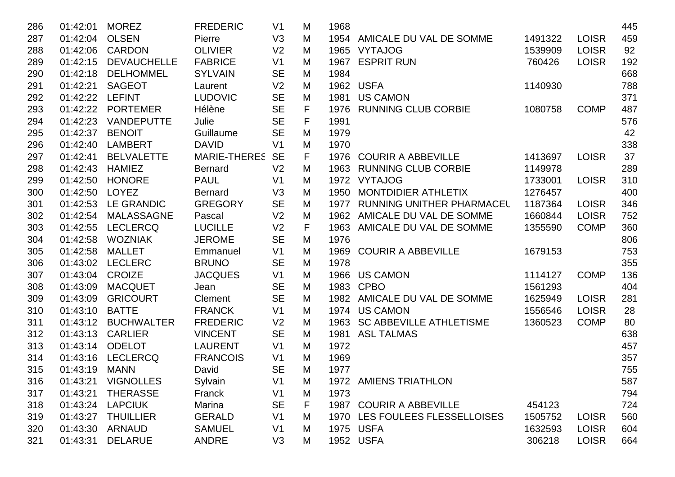| 286 | 01:42:01 | <b>MOREZ</b>       | <b>FREDERIC</b>     | V <sub>1</sub> | M | 1968 |                                  |         |              | 445 |
|-----|----------|--------------------|---------------------|----------------|---|------|----------------------------------|---------|--------------|-----|
| 287 | 01:42:04 | <b>OLSEN</b>       | Pierre              | V <sub>3</sub> | M |      | 1954 AMICALE DU VAL DE SOMME     | 1491322 | <b>LOISR</b> | 459 |
| 288 | 01:42:06 | <b>CARDON</b>      | <b>OLIVIER</b>      | V <sub>2</sub> | M |      | 1965 VYTAJOG                     | 1539909 | <b>LOISR</b> | 92  |
| 289 | 01:42:15 | <b>DEVAUCHELLE</b> | <b>FABRICE</b>      | V <sub>1</sub> | M | 1967 | <b>ESPRIT RUN</b>                | 760426  | <b>LOISR</b> | 192 |
| 290 | 01:42:18 | <b>DELHOMMEL</b>   | <b>SYLVAIN</b>      | <b>SE</b>      | M | 1984 |                                  |         |              | 668 |
| 291 | 01:42:21 | <b>SAGEOT</b>      | Laurent             | V <sub>2</sub> | M |      | 1962 USFA                        | 1140930 |              | 788 |
| 292 | 01:42:22 | <b>LEFINT</b>      | <b>LUDOVIC</b>      | <b>SE</b>      | M |      | 1981 US CAMON                    |         |              | 371 |
| 293 | 01:42:22 | <b>PORTEMER</b>    | Hélène              | <b>SE</b>      | F |      | 1976 RUNNING CLUB CORBIE         | 1080758 | <b>COMP</b>  | 487 |
| 294 | 01:42:23 | <b>VANDEPUTTE</b>  | Julie               | <b>SE</b>      | F | 1991 |                                  |         |              | 576 |
| 295 | 01:42:37 | <b>BENOIT</b>      | Guillaume           | <b>SE</b>      | M | 1979 |                                  |         |              | 42  |
| 296 | 01:42:40 | LAMBERT            | <b>DAVID</b>        | V <sub>1</sub> | M | 1970 |                                  |         |              | 338 |
| 297 | 01:42:41 | <b>BELVALETTE</b>  | <b>MARIE-THERES</b> | <b>SE</b>      | F | 1976 | <b>COURIR A ABBEVILLE</b>        | 1413697 | <b>LOISR</b> | 37  |
| 298 | 01:42:43 | <b>HAMIEZ</b>      | <b>Bernard</b>      | V <sub>2</sub> | M |      | 1963 RUNNING CLUB CORBIE         | 1149978 |              | 289 |
| 299 | 01:42:50 | <b>HONORE</b>      | <b>PAUL</b>         | V <sub>1</sub> | M |      | 1972 VYTAJOG                     | 1733001 | <b>LOISR</b> | 310 |
| 300 | 01:42:50 | <b>LOYEZ</b>       | <b>Bernard</b>      | V <sub>3</sub> | M | 1950 | MONTDIDIER ATHLETIX              | 1276457 |              | 400 |
| 301 | 01:42:53 | <b>LE GRANDIC</b>  | <b>GREGORY</b>      | <b>SE</b>      | M | 1977 | <b>RUNNING UNITHER PHARMACEL</b> | 1187364 | <b>LOISR</b> | 346 |
| 302 | 01:42:54 | <b>MALASSAGNE</b>  | Pascal              | V <sub>2</sub> | M |      | 1962 AMICALE DU VAL DE SOMME     | 1660844 | <b>LOISR</b> | 752 |
| 303 | 01:42:55 | <b>LECLERCQ</b>    | <b>LUCILLE</b>      | V <sub>2</sub> | F | 1963 | AMICALE DU VAL DE SOMME          | 1355590 | <b>COMP</b>  | 360 |
| 304 | 01:42:58 | <b>WOZNIAK</b>     | <b>JEROME</b>       | <b>SE</b>      | M | 1976 |                                  |         |              | 806 |
| 305 | 01:42:58 | <b>MALLET</b>      | Emmanuel            | V <sub>1</sub> | M | 1969 | <b>COURIR A ABBEVILLE</b>        | 1679153 |              | 753 |
| 306 | 01:43:02 | <b>LECLERC</b>     | <b>BRUNO</b>        | <b>SE</b>      | M | 1978 |                                  |         |              | 355 |
| 307 | 01:43:04 | <b>CROIZE</b>      | <b>JACQUES</b>      | V <sub>1</sub> | M |      | 1966 US CAMON                    | 1114127 | <b>COMP</b>  | 136 |
| 308 | 01:43:09 | <b>MACQUET</b>     | Jean                | <b>SE</b>      | M | 1983 | <b>CPBO</b>                      | 1561293 |              | 404 |
| 309 | 01:43:09 | <b>GRICOURT</b>    | Clement             | <b>SE</b>      | M |      | 1982 AMICALE DU VAL DE SOMME     | 1625949 | <b>LOISR</b> | 281 |
| 310 | 01:43:10 | <b>BATTE</b>       | <b>FRANCK</b>       | V <sub>1</sub> | M |      | 1974 US CAMON                    | 1556546 | <b>LOISR</b> | 28  |
| 311 | 01:43:12 | <b>BUCHWALTER</b>  | <b>FREDERIC</b>     | V <sub>2</sub> | M | 1963 | <b>SC ABBEVILLE ATHLETISME</b>   | 1360523 | <b>COMP</b>  | 80  |
| 312 | 01:43:13 | <b>CARLIER</b>     | <b>VINCENT</b>      | <b>SE</b>      | M |      | 1981 ASL TALMAS                  |         |              | 638 |
| 313 | 01:43:14 | <b>ODELOT</b>      | <b>LAURENT</b>      | V <sub>1</sub> | M | 1972 |                                  |         |              | 457 |
| 314 | 01:43:16 | <b>LECLERCQ</b>    | <b>FRANCOIS</b>     | V <sub>1</sub> | M | 1969 |                                  |         |              | 357 |
| 315 | 01:43:19 | <b>MANN</b>        | David               | <b>SE</b>      | M | 1977 |                                  |         |              | 755 |
| 316 |          | 01:43:21 VIGNOLLES | Sylvain             | V <sub>1</sub> | M |      | 1972 AMIENS TRIATHLON            |         |              | 587 |
| 317 | 01:43:21 | <b>THERASSE</b>    | Franck              | V <sub>1</sub> | M | 1973 |                                  |         |              | 794 |
| 318 | 01:43:24 | <b>LAPCIUK</b>     | Marina              | <b>SE</b>      | F |      | 1987 COURIR A ABBEVILLE          | 454123  |              | 724 |
| 319 | 01:43:27 | <b>THUILLIER</b>   | <b>GERALD</b>       | V <sub>1</sub> | M |      | 1970 LES FOULEES FLESSELLOISES   | 1505752 | <b>LOISR</b> | 560 |
| 320 | 01:43:30 | ARNAUD             | <b>SAMUEL</b>       | V <sub>1</sub> | M |      | 1975 USFA                        | 1632593 | <b>LOISR</b> | 604 |
| 321 | 01:43:31 | <b>DELARUE</b>     | <b>ANDRE</b>        | V3             | M |      | 1952 USFA                        | 306218  | <b>LOISR</b> | 664 |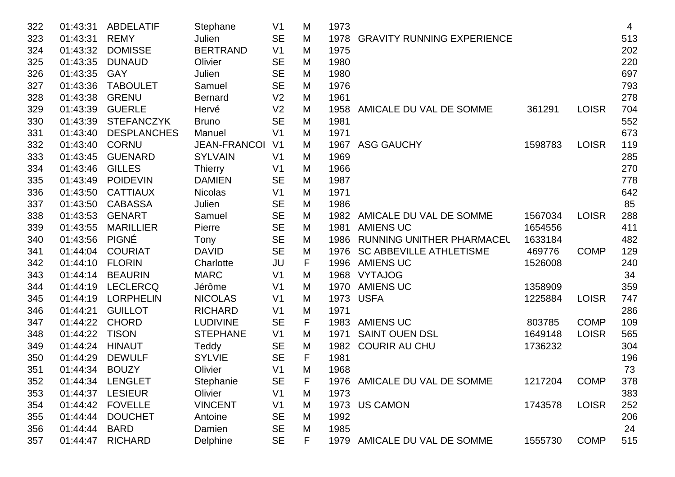| 322 | 01:43:31 | <b>ABDELATIF</b>   | Stephane            | V <sub>1</sub> | M | 1973 |                                   |         |              | 4   |
|-----|----------|--------------------|---------------------|----------------|---|------|-----------------------------------|---------|--------------|-----|
| 323 | 01:43:31 | <b>REMY</b>        | Julien              | <b>SE</b>      | M | 1978 | <b>GRAVITY RUNNING EXPERIENCE</b> |         |              | 513 |
| 324 | 01:43:32 | <b>DOMISSE</b>     | <b>BERTRAND</b>     | V <sub>1</sub> | M | 1975 |                                   |         |              | 202 |
| 325 | 01:43:35 | <b>DUNAUD</b>      | Olivier             | <b>SE</b>      | M | 1980 |                                   |         |              | 220 |
| 326 | 01:43:35 | <b>GAY</b>         | Julien              | <b>SE</b>      | M | 1980 |                                   |         |              | 697 |
| 327 | 01:43:36 | <b>TABOULET</b>    | Samuel              | <b>SE</b>      | M | 1976 |                                   |         |              | 793 |
| 328 | 01:43:38 | <b>GRENU</b>       | <b>Bernard</b>      | V <sub>2</sub> | M | 1961 |                                   |         |              | 278 |
| 329 | 01:43:39 | <b>GUERLE</b>      | Hervé               | V <sub>2</sub> | M | 1958 | AMICALE DU VAL DE SOMME           | 361291  | <b>LOISR</b> | 704 |
| 330 | 01:43:39 | <b>STEFANCZYK</b>  | <b>Bruno</b>        | <b>SE</b>      | M | 1981 |                                   |         |              | 552 |
| 331 | 01:43:40 | <b>DESPLANCHES</b> | Manuel              | V <sub>1</sub> | M | 1971 |                                   |         |              | 673 |
| 332 | 01:43:40 | <b>CORNU</b>       | <b>JEAN-FRANCOI</b> | V <sub>1</sub> | M | 1967 | <b>ASG GAUCHY</b>                 | 1598783 | <b>LOISR</b> | 119 |
| 333 | 01:43:45 | <b>GUENARD</b>     | <b>SYLVAIN</b>      | V <sub>1</sub> | M | 1969 |                                   |         |              | 285 |
| 334 | 01:43:46 | <b>GILLES</b>      | <b>Thierry</b>      | V <sub>1</sub> | M | 1966 |                                   |         |              | 270 |
| 335 | 01:43:49 | <b>POIDEVIN</b>    | <b>DAMIEN</b>       | <b>SE</b>      | M | 1987 |                                   |         |              | 778 |
| 336 | 01:43:50 | <b>CATTIAUX</b>    | <b>Nicolas</b>      | V <sub>1</sub> | M | 1971 |                                   |         |              | 642 |
| 337 | 01:43:50 | <b>CABASSA</b>     | Julien              | <b>SE</b>      | M | 1986 |                                   |         |              | 85  |
| 338 | 01:43:53 | <b>GENART</b>      | Samuel              | <b>SE</b>      | M | 1982 | AMICALE DU VAL DE SOMME           | 1567034 | <b>LOISR</b> | 288 |
| 339 | 01:43:55 | <b>MARILLIER</b>   | Pierre              | <b>SE</b>      | M | 1981 | <b>AMIENS UC</b>                  | 1654556 |              | 411 |
| 340 | 01:43:56 | <b>PIGNÉ</b>       | Tony                | <b>SE</b>      | M | 1986 | RUNNING UNITHER PHARMACEL         | 1633184 |              | 482 |
| 341 | 01:44:04 | <b>COURIAT</b>     | <b>DAVID</b>        | <b>SE</b>      | M | 1976 | <b>SC ABBEVILLE ATHLETISME</b>    | 469776  | <b>COMP</b>  | 129 |
| 342 | 01:44:10 | <b>FLORIN</b>      | Charlotte           | JU             | F | 1996 | <b>AMIENS UC</b>                  | 1526008 |              | 240 |
| 343 | 01:44:14 | <b>BEAURIN</b>     | <b>MARC</b>         | V <sub>1</sub> | M | 1968 | <b>VYTAJOG</b>                    |         |              | 34  |
| 344 | 01:44:19 | <b>LECLERCQ</b>    | Jérôme              | V <sub>1</sub> | M | 1970 | <b>AMIENS UC</b>                  | 1358909 |              | 359 |
| 345 | 01:44:19 | <b>LORPHELIN</b>   | <b>NICOLAS</b>      | V <sub>1</sub> | M | 1973 | <b>USFA</b>                       | 1225884 | <b>LOISR</b> | 747 |
| 346 | 01:44:21 | <b>GUILLOT</b>     | <b>RICHARD</b>      | V <sub>1</sub> | M | 1971 |                                   |         |              | 286 |
| 347 | 01:44:22 | <b>CHORD</b>       | <b>LUDIVINE</b>     | <b>SE</b>      | F | 1983 | <b>AMIENS UC</b>                  | 803785  | <b>COMP</b>  | 109 |
| 348 | 01:44:22 | <b>TISON</b>       | <b>STEPHANE</b>     | V <sub>1</sub> | M | 1971 | <b>SAINT OUEN DSL</b>             | 1649148 | <b>LOISR</b> | 565 |
| 349 | 01:44:24 | <b>HINAUT</b>      | Teddy               | <b>SE</b>      | M | 1982 | <b>COURIR AU CHU</b>              | 1736232 |              | 304 |
| 350 | 01:44:29 | <b>DEWULF</b>      | <b>SYLVIE</b>       | <b>SE</b>      | F | 1981 |                                   |         |              | 196 |
| 351 | 01:44:34 | <b>BOUZY</b>       | Olivier             | V <sub>1</sub> | M | 1968 |                                   |         |              | 73  |
| 352 | 01:44:34 | <b>LENGLET</b>     | Stephanie           | <b>SE</b>      | ٣ | 1976 | AMICALE DU VAL DE SOMME           | 1217204 | <b>COMP</b>  | 378 |
| 353 | 01:44:37 | <b>LESIEUR</b>     | Olivier             | V <sub>1</sub> | M | 1973 |                                   |         |              | 383 |
| 354 | 01:44:42 | <b>FOVELLE</b>     | <b>VINCENT</b>      | V <sub>1</sub> | M |      | 1973 US CAMON                     | 1743578 | <b>LOISR</b> | 252 |
| 355 | 01:44:44 | <b>DOUCHET</b>     | Antoine             | <b>SE</b>      | M | 1992 |                                   |         |              | 206 |
| 356 | 01:44:44 | <b>BARD</b>        | Damien              | <b>SE</b>      | M | 1985 |                                   |         |              | 24  |
| 357 | 01:44:47 | <b>RICHARD</b>     | Delphine            | <b>SE</b>      | F |      | 1979 AMICALE DU VAL DE SOMME      | 1555730 | <b>COMP</b>  | 515 |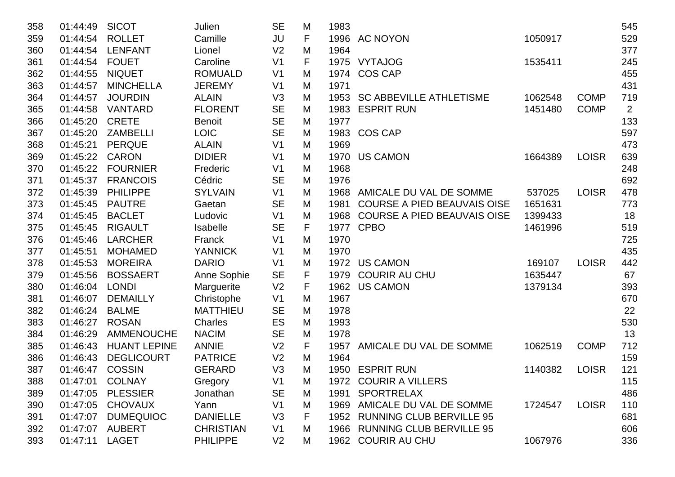| 358 | 01:44:49 | <b>SICOT</b>        | Julien           | <b>SE</b>      | M | 1983 |                                    |         |              | 545            |
|-----|----------|---------------------|------------------|----------------|---|------|------------------------------------|---------|--------------|----------------|
| 359 | 01:44:54 | <b>ROLLET</b>       | Camille          | <b>JU</b>      | F |      | 1996 AC NOYON                      | 1050917 |              | 529            |
| 360 | 01:44:54 | <b>LENFANT</b>      | Lionel           | V <sub>2</sub> | M | 1964 |                                    |         |              | 377            |
| 361 | 01:44:54 | <b>FOUET</b>        | Caroline         | V <sub>1</sub> | F |      | 1975 VYTAJOG                       | 1535411 |              | 245            |
| 362 | 01:44:55 | <b>NIQUET</b>       | <b>ROMUALD</b>   | V <sub>1</sub> | M | 1974 | <b>COS CAP</b>                     |         |              | 455            |
| 363 | 01:44:57 | <b>MINCHELLA</b>    | <b>JEREMY</b>    | V <sub>1</sub> | M | 1971 |                                    |         |              | 431            |
| 364 | 01:44:57 | <b>JOURDIN</b>      | <b>ALAIN</b>     | V <sub>3</sub> | M | 1953 | <b>SC ABBEVILLE ATHLETISME</b>     | 1062548 | <b>COMP</b>  | 719            |
| 365 | 01:44:58 | <b>VANTARD</b>      | <b>FLORENT</b>   | <b>SE</b>      | M | 1983 | <b>ESPRIT RUN</b>                  | 1451480 | <b>COMP</b>  | $\overline{2}$ |
| 366 | 01:45:20 | <b>CRETE</b>        | <b>Benoit</b>    | <b>SE</b>      | M | 1977 |                                    |         |              | 133            |
| 367 | 01:45:20 | <b>ZAMBELLI</b>     | <b>LOIC</b>      | <b>SE</b>      | M |      | 1983 COS CAP                       |         |              | 597            |
| 368 | 01:45:21 | <b>PERQUE</b>       | <b>ALAIN</b>     | V <sub>1</sub> | M | 1969 |                                    |         |              | 473            |
| 369 | 01:45:22 | <b>CARON</b>        | <b>DIDIER</b>    | V <sub>1</sub> | M | 1970 | <b>US CAMON</b>                    | 1664389 | <b>LOISR</b> | 639            |
| 370 | 01:45:22 | <b>FOURNIER</b>     | Frederic         | V <sub>1</sub> | M | 1968 |                                    |         |              | 248            |
| 371 | 01:45:37 | <b>FRANCOIS</b>     | Cédric           | <b>SE</b>      | M | 1976 |                                    |         |              | 692            |
| 372 | 01:45:39 | <b>PHILIPPE</b>     | <b>SYLVAIN</b>   | V <sub>1</sub> | M | 1968 | AMICALE DU VAL DE SOMME            | 537025  | <b>LOISR</b> | 478            |
| 373 | 01:45:45 | <b>PAUTRE</b>       | Gaetan           | <b>SE</b>      | M | 1981 | <b>COURSE A PIED BEAUVAIS OISE</b> | 1651631 |              | 773            |
| 374 | 01:45:45 | <b>BACLET</b>       | Ludovic          | V <sub>1</sub> | M | 1968 | <b>COURSE A PIED BEAUVAIS OISE</b> | 1399433 |              | 18             |
| 375 | 01:45:45 | <b>RIGAULT</b>      | Isabelle         | <b>SE</b>      | F |      | 1977 CPBO                          | 1461996 |              | 519            |
| 376 | 01:45:46 | <b>LARCHER</b>      | Franck           | V <sub>1</sub> | M | 1970 |                                    |         |              | 725            |
| 377 | 01:45:51 | <b>MOHAMED</b>      | <b>YANNICK</b>   | V <sub>1</sub> | M | 1970 |                                    |         |              | 435            |
| 378 | 01:45:53 | <b>MOREIRA</b>      | <b>DARIO</b>     | V <sub>1</sub> | M | 1972 | <b>US CAMON</b>                    | 169107  | <b>LOISR</b> | 442            |
| 379 | 01:45:56 | <b>BOSSAERT</b>     | Anne Sophie      | <b>SE</b>      | F | 1979 | <b>COURIR AU CHU</b>               | 1635447 |              | 67             |
| 380 | 01:46:04 | <b>LONDI</b>        | Marguerite       | V <sub>2</sub> | F | 1962 | <b>US CAMON</b>                    | 1379134 |              | 393            |
| 381 | 01:46:07 | <b>DEMAILLY</b>     | Christophe       | V <sub>1</sub> | M | 1967 |                                    |         |              | 670            |
| 382 | 01:46:24 | <b>BALME</b>        | <b>MATTHIEU</b>  | <b>SE</b>      | M | 1978 |                                    |         |              | 22             |
| 383 | 01:46:27 | <b>ROSAN</b>        | Charles          | ES             | M | 1993 |                                    |         |              | 530            |
| 384 | 01:46:29 | <b>AMMENOUCHE</b>   | <b>NACIM</b>     | <b>SE</b>      | M | 1978 |                                    |         |              | 13             |
| 385 | 01:46:43 | <b>HUANT LEPINE</b> | <b>ANNIE</b>     | V <sub>2</sub> | F | 1957 | AMICALE DU VAL DE SOMME            | 1062519 | <b>COMP</b>  | 712            |
| 386 | 01:46:43 | <b>DEGLICOURT</b>   | <b>PATRICE</b>   | V <sub>2</sub> | M | 1964 |                                    |         |              | 159            |
| 387 | 01:46:47 | <b>COSSIN</b>       | <b>GERARD</b>    | V <sub>3</sub> | M | 1950 | <b>ESPRIT RUN</b>                  | 1140382 | <b>LOISR</b> | 121            |
| 388 | 01:47:01 | <b>COLNAY</b>       | Gregory          | V <sub>1</sub> | M |      | 1972 COURIR A VILLERS              |         |              | 115            |
| 389 | 01:47:05 | <b>PLESSIER</b>     | Jonathan         | <b>SE</b>      | M |      | 1991 SPORTRELAX                    |         |              | 486            |
| 390 | 01:47:05 | <b>CHOVAUX</b>      | Yann             | V <sub>1</sub> | M |      | 1969 AMICALE DU VAL DE SOMME       | 1724547 | <b>LOISR</b> | 110            |
| 391 | 01:47:07 | <b>DUMEQUIOC</b>    | <b>DANIELLE</b>  | V <sub>3</sub> | F |      | 1952 RUNNING CLUB BERVILLE 95      |         |              | 681            |
| 392 | 01:47:07 | <b>AUBERT</b>       | <b>CHRISTIAN</b> | V <sub>1</sub> | M |      | 1966 RUNNING CLUB BERVILLE 95      |         |              | 606            |
| 393 | 01:47:11 | <b>LAGET</b>        | <b>PHILIPPE</b>  | V <sub>2</sub> | M |      | 1962 COURIR AU CHU                 | 1067976 |              | 336            |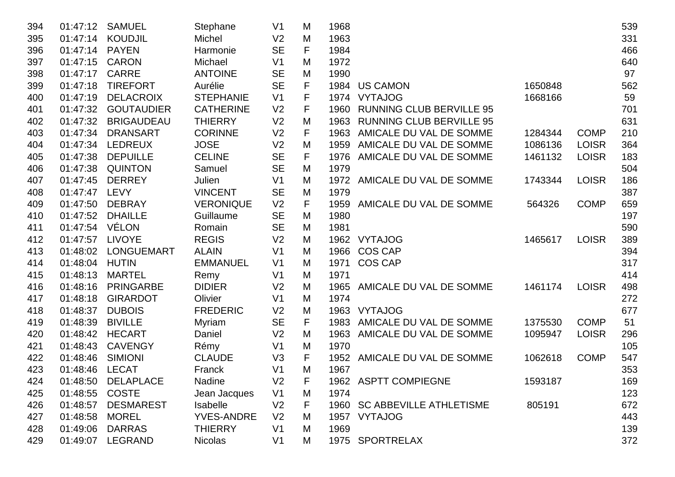| 394 | 01:47:12 | <b>SAMUEL</b>      | Stephane          | V <sub>1</sub> | M                   | 1968 |                                 |         |              | 539 |
|-----|----------|--------------------|-------------------|----------------|---------------------|------|---------------------------------|---------|--------------|-----|
| 395 | 01:47:14 | <b>KOUDJIL</b>     | Michel            | V <sub>2</sub> | M                   | 1963 |                                 |         |              | 331 |
| 396 | 01:47:14 | <b>PAYEN</b>       | Harmonie          | <b>SE</b>      | F                   | 1984 |                                 |         |              | 466 |
| 397 | 01:47:15 | <b>CARON</b>       | Michael           | V <sub>1</sub> | M                   | 1972 |                                 |         |              | 640 |
| 398 | 01:47:17 | <b>CARRE</b>       | <b>ANTOINE</b>    | <b>SE</b>      | M                   | 1990 |                                 |         |              | 97  |
| 399 | 01:47:18 | <b>TIREFORT</b>    | Aurélie           | <b>SE</b>      | F                   |      | 1984 US CAMON                   | 1650848 |              | 562 |
| 400 | 01:47:19 | <b>DELACROIX</b>   | <b>STEPHANIE</b>  | V <sub>1</sub> | F                   |      | 1974 VYTAJOG                    | 1668166 |              | 59  |
| 401 | 01:47:32 | <b>GOUTAUDIER</b>  | <b>CATHERINE</b>  | V <sub>2</sub> | F                   | 1960 | <b>RUNNING CLUB BERVILLE 95</b> |         |              | 701 |
| 402 | 01:47:32 | <b>BRIGAUDEAU</b>  | <b>THIERRY</b>    | V <sub>2</sub> | M                   | 1963 | <b>RUNNING CLUB BERVILLE 95</b> |         |              | 631 |
| 403 | 01:47:34 | <b>DRANSART</b>    | <b>CORINNE</b>    | V <sub>2</sub> | F                   | 1963 | AMICALE DU VAL DE SOMME         | 1284344 | <b>COMP</b>  | 210 |
| 404 | 01:47:34 | <b>LEDREUX</b>     | <b>JOSE</b>       | V <sub>2</sub> | M                   | 1959 | AMICALE DU VAL DE SOMME         | 1086136 | <b>LOISR</b> | 364 |
| 405 | 01:47:38 | <b>DEPUILLE</b>    | <b>CELINE</b>     | <b>SE</b>      | F                   | 1976 | AMICALE DU VAL DE SOMME         | 1461132 | <b>LOISR</b> | 183 |
| 406 | 01:47:38 | <b>QUINTON</b>     | Samuel            | <b>SE</b>      | M                   | 1979 |                                 |         |              | 504 |
| 407 | 01:47:45 | <b>DERREY</b>      | Julien            | V <sub>1</sub> | M                   |      | 1972 AMICALE DU VAL DE SOMME    | 1743344 | <b>LOISR</b> | 186 |
| 408 | 01:47:47 | <b>LEVY</b>        | <b>VINCENT</b>    | <b>SE</b>      | M                   | 1979 |                                 |         |              | 387 |
| 409 | 01:47:50 | <b>DEBRAY</b>      | <b>VERONIQUE</b>  | V <sub>2</sub> | F                   | 1959 | AMICALE DU VAL DE SOMME         | 564326  | <b>COMP</b>  | 659 |
| 410 | 01:47:52 | <b>DHAILLE</b>     | Guillaume         | <b>SE</b>      | M                   | 1980 |                                 |         |              | 197 |
| 411 | 01:47:54 | VÉLON              | Romain            | <b>SE</b>      | M                   | 1981 |                                 |         |              | 590 |
| 412 | 01:47:57 | <b>LIVOYE</b>      | <b>REGIS</b>      | V <sub>2</sub> | M                   |      | 1962 VYTAJOG                    | 1465617 | <b>LOISR</b> | 389 |
| 413 | 01:48:02 | <b>LONGUEMART</b>  | <b>ALAIN</b>      | V <sub>1</sub> | M                   | 1966 | <b>COS CAP</b>                  |         |              | 394 |
| 414 | 01:48:04 | <b>HUTIN</b>       | <b>EMMANUEL</b>   | V <sub>1</sub> | M                   | 1971 | <b>COS CAP</b>                  |         |              | 317 |
| 415 | 01:48:13 | <b>MARTEL</b>      | Remy              | V <sub>1</sub> | M                   | 1971 |                                 |         |              | 414 |
| 416 | 01:48:16 | <b>PRINGARBE</b>   | <b>DIDIER</b>     | V <sub>2</sub> | M                   | 1965 | AMICALE DU VAL DE SOMME         | 1461174 | <b>LOISR</b> | 498 |
| 417 | 01:48:18 | <b>GIRARDOT</b>    | Olivier           | V <sub>1</sub> | M                   | 1974 |                                 |         |              | 272 |
| 418 | 01:48:37 | <b>DUBOIS</b>      | <b>FREDERIC</b>   | V <sub>2</sub> | M                   | 1963 | <b>VYTAJOG</b>                  |         |              | 677 |
| 419 | 01:48:39 | <b>BIVILLE</b>     | Myriam            | <b>SE</b>      | F                   | 1983 | AMICALE DU VAL DE SOMME         | 1375530 | <b>COMP</b>  | 51  |
| 420 | 01:48:42 | <b>HECART</b>      | Daniel            | V <sub>2</sub> | M                   | 1963 | AMICALE DU VAL DE SOMME         | 1095947 | <b>LOISR</b> | 296 |
| 421 | 01:48:43 | <b>CAVENGY</b>     | Rémy              | V <sub>1</sub> | M                   | 1970 |                                 |         |              | 105 |
| 422 | 01:48:46 | <b>SIMIONI</b>     | <b>CLAUDE</b>     | V3             | F                   | 1952 | AMICALE DU VAL DE SOMME         | 1062618 | <b>COMP</b>  | 547 |
| 423 | 01:48:46 | <b>LECAT</b>       | Franck            | V <sub>1</sub> | M                   | 1967 |                                 |         |              | 353 |
| 424 |          | 01:48:50 DELAPLACE | Nadine            | V <sub>2</sub> | $\overline{ }$<br>٣ |      | 1962 ASPTT COMPIEGNE            | 1593187 |              | 169 |
| 425 | 01:48:55 | <b>COSTE</b>       | Jean Jacques      | V <sub>1</sub> | М                   | 1974 |                                 |         |              | 123 |
| 426 | 01:48:57 | <b>DESMAREST</b>   | <b>Isabelle</b>   | V <sub>2</sub> | F                   |      | 1960 SC ABBEVILLE ATHLETISME    | 805191  |              | 672 |
| 427 | 01:48:58 | <b>MOREL</b>       | <b>YVES-ANDRE</b> | V <sub>2</sub> | М                   |      | 1957 VYTAJOG                    |         |              | 443 |
| 428 | 01:49:06 | <b>DARRAS</b>      | <b>THIERRY</b>    | V <sub>1</sub> | M                   | 1969 |                                 |         |              | 139 |
| 429 | 01:49:07 | LEGRAND            | <b>Nicolas</b>    | V <sub>1</sub> | M                   |      | 1975 SPORTRELAX                 |         |              | 372 |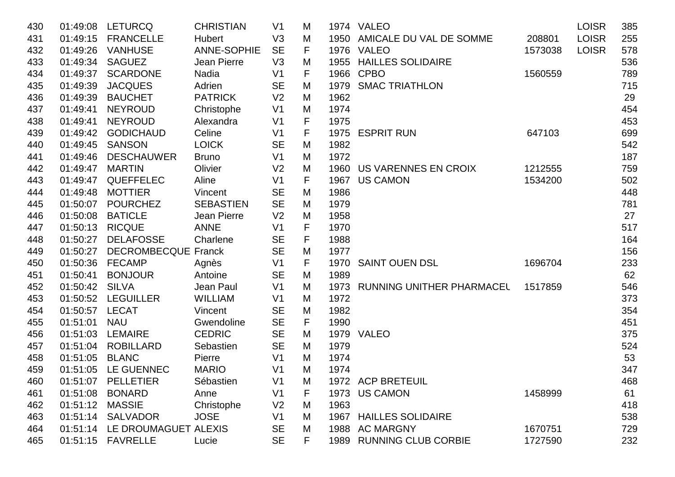| 430 | 01:49:08 | <b>LETURCQ</b>             | <b>CHRISTIAN</b> | V <sub>1</sub> | M |      | 1974 VALEO                     |         | <b>LOISR</b> | 385 |
|-----|----------|----------------------------|------------------|----------------|---|------|--------------------------------|---------|--------------|-----|
| 431 | 01:49:15 | <b>FRANCELLE</b>           | <b>Hubert</b>    | V3             | M | 1950 | AMICALE DU VAL DE SOMME        | 208801  | <b>LOISR</b> | 255 |
| 432 | 01:49:26 | <b>VANHUSE</b>             | ANNE-SOPHIE      | <b>SE</b>      | F |      | 1976 VALEO                     | 1573038 | <b>LOISR</b> | 578 |
| 433 | 01:49:34 | <b>SAGUEZ</b>              | Jean Pierre      | V <sub>3</sub> | M |      | 1955 HAILLES SOLIDAIRE         |         |              | 536 |
| 434 | 01:49:37 | <b>SCARDONE</b>            | Nadia            | V <sub>1</sub> | F |      | 1966 CPBO                      | 1560559 |              | 789 |
| 435 | 01:49:39 | <b>JACQUES</b>             | Adrien           | <b>SE</b>      | M | 1979 | <b>SMAC TRIATHLON</b>          |         |              | 715 |
| 436 | 01:49:39 | <b>BAUCHET</b>             | <b>PATRICK</b>   | V <sub>2</sub> | M | 1962 |                                |         |              | 29  |
| 437 | 01:49:41 | <b>NEYROUD</b>             | Christophe       | V <sub>1</sub> | M | 1974 |                                |         |              | 454 |
| 438 | 01:49:41 | <b>NEYROUD</b>             | Alexandra        | V <sub>1</sub> | F | 1975 |                                |         |              | 453 |
| 439 | 01:49:42 | <b>GODICHAUD</b>           | Celine           | V <sub>1</sub> | F |      | 1975 ESPRIT RUN                | 647103  |              | 699 |
| 440 | 01:49:45 | <b>SANSON</b>              | <b>LOICK</b>     | <b>SE</b>      | M | 1982 |                                |         |              | 542 |
| 441 | 01:49:46 | <b>DESCHAUWER</b>          | <b>Bruno</b>     | V <sub>1</sub> | M | 1972 |                                |         |              | 187 |
| 442 | 01:49:47 | <b>MARTIN</b>              | Olivier          | V <sub>2</sub> | M |      | 1960 US VARENNES EN CROIX      | 1212555 |              | 759 |
| 443 | 01:49:47 | QUEFFELEC                  | Aline            | V <sub>1</sub> | F | 1967 | <b>US CAMON</b>                | 1534200 |              | 502 |
| 444 | 01:49:48 | <b>MOTTIER</b>             | Vincent          | <b>SE</b>      | M | 1986 |                                |         |              | 448 |
| 445 | 01:50:07 | <b>POURCHEZ</b>            | <b>SEBASTIEN</b> | <b>SE</b>      | M | 1979 |                                |         |              | 781 |
| 446 | 01:50:08 | <b>BATICLE</b>             | Jean Pierre      | V <sub>2</sub> | M | 1958 |                                |         |              | 27  |
| 447 | 01:50:13 | <b>RICQUE</b>              | <b>ANNE</b>      | V <sub>1</sub> | F | 1970 |                                |         |              | 517 |
| 448 | 01:50:27 | <b>DELAFOSSE</b>           | Charlene         | <b>SE</b>      | F | 1988 |                                |         |              | 164 |
| 449 | 01:50:27 | <b>DECROMBECQUE Franck</b> |                  | <b>SE</b>      | M | 1977 |                                |         |              | 156 |
| 450 | 01:50:36 | <b>FECAMP</b>              | Agnès            | V <sub>1</sub> | F | 1970 | <b>SAINT OUEN DSL</b>          | 1696704 |              | 233 |
| 451 | 01:50:41 | <b>BONJOUR</b>             | Antoine          | <b>SE</b>      | M | 1989 |                                |         |              | 62  |
| 452 | 01:50:42 | <b>SILVA</b>               | Jean Paul        | V <sub>1</sub> | M |      | 1973 RUNNING UNITHER PHARMACEL | 1517859 |              | 546 |
| 453 | 01:50:52 | <b>LEGUILLER</b>           | <b>WILLIAM</b>   | V <sub>1</sub> | M | 1972 |                                |         |              | 373 |
| 454 | 01:50:57 | <b>LECAT</b>               | Vincent          | <b>SE</b>      | M | 1982 |                                |         |              | 354 |
| 455 | 01:51:01 | <b>NAU</b>                 | Gwendoline       | <b>SE</b>      | F | 1990 |                                |         |              | 451 |
| 456 | 01:51:03 | <b>LEMAIRE</b>             | <b>CEDRIC</b>    | <b>SE</b>      | M |      | 1979 VALEO                     |         |              | 375 |
| 457 | 01:51:04 | <b>ROBILLARD</b>           | Sebastien        | <b>SE</b>      | M | 1979 |                                |         |              | 524 |
| 458 | 01:51:05 | <b>BLANC</b>               | Pierre           | V <sub>1</sub> | M | 1974 |                                |         |              | 53  |
| 459 |          | 01:51:05 LE GUENNEC        | <b>MARIO</b>     | V <sub>1</sub> | M | 1974 |                                |         |              | 347 |
| 460 |          | 01:51:07 PELLETIER         | Sébastien        | V <sub>1</sub> | M |      | 1972 ACP BRETEUIL              |         |              | 468 |
| 461 | 01:51:08 | <b>BONARD</b>              | Anne             | V <sub>1</sub> | F |      | 1973 US CAMON                  | 1458999 |              | 61  |
| 462 | 01:51:12 | <b>MASSIE</b>              | Christophe       | V <sub>2</sub> | M | 1963 |                                |         |              | 418 |
| 463 |          | 01:51:14 SALVADOR          | <b>JOSE</b>      | V <sub>1</sub> | M |      | 1967 HAILLES SOLIDAIRE         |         |              | 538 |
| 464 | 01:51:14 | LE DROUMAGUET ALEXIS       |                  | <b>SE</b>      | M |      | 1988 AC MARGNY                 | 1670751 |              | 729 |
| 465 | 01:51:15 | <b>FAVRELLE</b>            | Lucie            | <b>SE</b>      | F |      | 1989 RUNNING CLUB CORBIE       | 1727590 |              | 232 |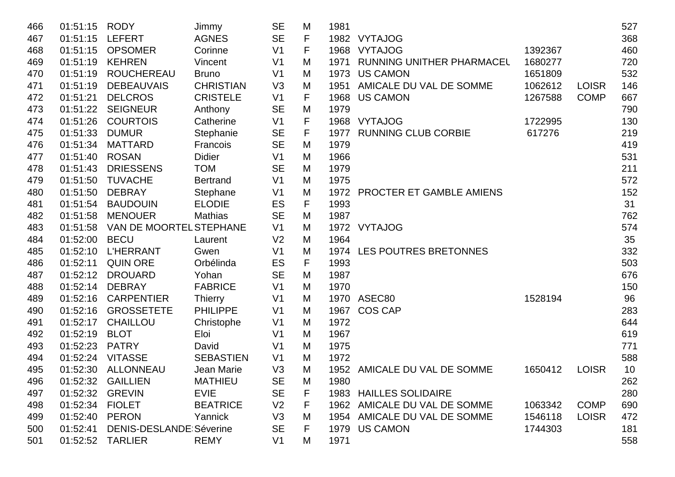| 466 | 01:51:15        | <b>RODY</b>                    | Jimmy            | <b>SE</b>      | M | 1981 |                               |         |              | 527 |
|-----|-----------------|--------------------------------|------------------|----------------|---|------|-------------------------------|---------|--------------|-----|
| 467 | 01:51:15        | <b>LEFERT</b>                  | <b>AGNES</b>     | <b>SE</b>      | F |      | 1982 VYTAJOG                  |         |              | 368 |
| 468 | 01:51:15        | <b>OPSOMER</b>                 | Corinne          | V <sub>1</sub> | F | 1968 | <b>VYTAJOG</b>                | 1392367 |              | 460 |
| 469 | 01:51:19        | <b>KEHREN</b>                  | Vincent          | V <sub>1</sub> | M | 1971 | RUNNING UNITHER PHARMACEL     | 1680277 |              | 720 |
| 470 | 01:51:19        | <b>ROUCHEREAU</b>              | <b>Bruno</b>     | V <sub>1</sub> | M | 1973 | <b>US CAMON</b>               | 1651809 |              | 532 |
| 471 | 01:51:19        | <b>DEBEAUVAIS</b>              | <b>CHRISTIAN</b> | V <sub>3</sub> | M | 1951 | AMICALE DU VAL DE SOMME       | 1062612 | <b>LOISR</b> | 146 |
| 472 | 01:51:21        | <b>DELCROS</b>                 | <b>CRISTELE</b>  | V <sub>1</sub> | F | 1968 | <b>US CAMON</b>               | 1267588 | <b>COMP</b>  | 667 |
| 473 | 01:51:22        | <b>SEIGNEUR</b>                | Anthony          | <b>SE</b>      | M | 1979 |                               |         |              | 790 |
| 474 | 01:51:26        | <b>COURTOIS</b>                | Catherine        | V <sub>1</sub> | F |      | 1968 VYTAJOG                  | 1722995 |              | 130 |
| 475 | 01:51:33        | <b>DUMUR</b>                   | Stephanie        | <b>SE</b>      | F |      | 1977 RUNNING CLUB CORBIE      | 617276  |              | 219 |
| 476 | 01:51:34        | MATTARD                        | Francois         | <b>SE</b>      | M | 1979 |                               |         |              | 419 |
| 477 | 01:51:40        | <b>ROSAN</b>                   | <b>Didier</b>    | V <sub>1</sub> | M | 1966 |                               |         |              | 531 |
| 478 | 01:51:43        | <b>DRIESSENS</b>               | <b>TOM</b>       | <b>SE</b>      | M | 1979 |                               |         |              | 211 |
| 479 | 01:51:50        | <b>TUVACHE</b>                 | <b>Bertrand</b>  | V <sub>1</sub> | M | 1975 |                               |         |              | 572 |
| 480 | 01:51:50        | <b>DEBRAY</b>                  | Stephane         | V <sub>1</sub> | M |      | 1972 PROCTER ET GAMBLE AMIENS |         |              | 152 |
| 481 | 01:51:54        | <b>BAUDOUIN</b>                | <b>ELODIE</b>    | ES             | F | 1993 |                               |         |              | 31  |
| 482 | 01:51:58        | <b>MENOUER</b>                 | <b>Mathias</b>   | <b>SE</b>      | M | 1987 |                               |         |              | 762 |
| 483 | 01:51:58        | VAN DE MOORTEL STEPHANE        |                  | V <sub>1</sub> | M |      | 1972 VYTAJOG                  |         |              | 574 |
| 484 | 01:52:00        | <b>BECU</b>                    | Laurent          | V <sub>2</sub> | M | 1964 |                               |         |              | 35  |
| 485 | 01:52:10        | <b>L'HERRANT</b>               | Gwen             | V <sub>1</sub> | M |      | 1974 LES POUTRES BRETONNES    |         |              | 332 |
| 486 | 01:52:11        | <b>QUIN ORE</b>                | Orbélinda        | ES             | F | 1993 |                               |         |              | 503 |
| 487 | 01:52:12        | <b>DROUARD</b>                 | Yohan            | <b>SE</b>      | M | 1987 |                               |         |              | 676 |
| 488 | 01:52:14        | <b>DEBRAY</b>                  | <b>FABRICE</b>   | V <sub>1</sub> | M | 1970 |                               |         |              | 150 |
| 489 | 01:52:16        | <b>CARPENTIER</b>              | <b>Thierry</b>   | V <sub>1</sub> | M |      | 1970 ASEC80                   | 1528194 |              | 96  |
| 490 | 01:52:16        | <b>GROSSETETE</b>              | <b>PHILIPPE</b>  | V <sub>1</sub> | M | 1967 | <b>COS CAP</b>                |         |              | 283 |
| 491 | 01:52:17        | <b>CHAILLOU</b>                | Christophe       | V <sub>1</sub> | M | 1972 |                               |         |              | 644 |
| 492 | 01:52:19        | <b>BLOT</b>                    | Eloi             | V <sub>1</sub> | M | 1967 |                               |         |              | 619 |
| 493 | 01:52:23        | <b>PATRY</b>                   | David            | V <sub>1</sub> | M | 1975 |                               |         |              | 771 |
| 494 | 01:52:24        | <b>VITASSE</b>                 | <b>SEBASTIEN</b> | V <sub>1</sub> | M | 1972 |                               |         |              | 588 |
| 495 | 01:52:30        | <b>ALLONNEAU</b>               | Jean Marie       | V3             | M |      | 1952 AMICALE DU VAL DE SOMME  | 1650412 | <b>LOISR</b> | 10  |
| 496 |                 | 01:52:32 GAILLIEN              | <b>MATHIEU</b>   | <b>SE</b>      | M | 1980 |                               |         |              | 262 |
| 497 | 01:52:32        | <b>GREVIN</b>                  | <b>EVIE</b>      | <b>SE</b>      | F |      | 1983 HAILLES SOLIDAIRE        |         |              | 280 |
| 498 | 01:52:34 FIOLET |                                | <b>BEATRICE</b>  | V <sub>2</sub> | F |      | 1962 AMICALE DU VAL DE SOMME  | 1063342 | <b>COMP</b>  | 690 |
| 499 | 01:52:40        | <b>PERON</b>                   | Yannick          | V <sub>3</sub> | M |      | 1954 AMICALE DU VAL DE SOMME  | 1546118 | <b>LOISR</b> | 472 |
| 500 | 01:52:41        | <b>DENIS-DESLANDE Séverine</b> |                  | <b>SE</b>      | F | 1979 | <b>US CAMON</b>               | 1744303 |              | 181 |
| 501 | 01:52:52        | <b>TARLIER</b>                 | <b>REMY</b>      | V <sub>1</sub> | М | 1971 |                               |         |              | 558 |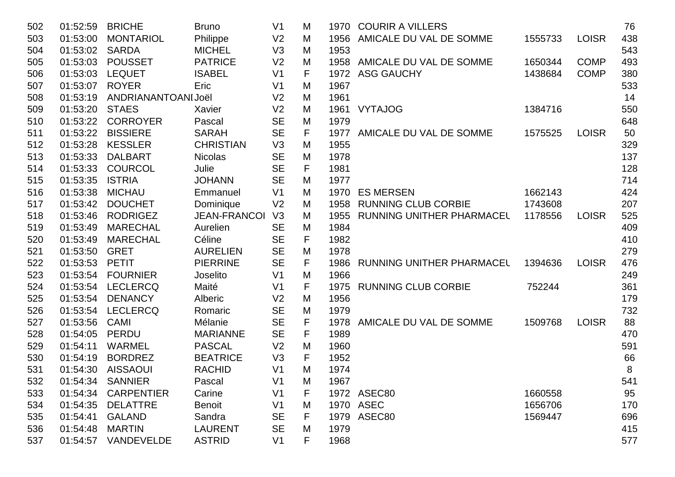| 502 | 01:52:59 | <b>BRICHE</b>       | <b>Bruno</b>        | V <sub>1</sub> | M | 1970 | <b>COURIR A VILLERS</b>          |         |              | 76  |
|-----|----------|---------------------|---------------------|----------------|---|------|----------------------------------|---------|--------------|-----|
| 503 | 01:53:00 | <b>MONTARIOL</b>    | Philippe            | V <sub>2</sub> | M | 1956 | AMICALE DU VAL DE SOMME          | 1555733 | <b>LOISR</b> | 438 |
| 504 | 01:53:02 | <b>SARDA</b>        | <b>MICHEL</b>       | V <sub>3</sub> | M | 1953 |                                  |         |              | 543 |
| 505 | 01:53:03 | <b>POUSSET</b>      | <b>PATRICE</b>      | V <sub>2</sub> | M | 1958 | AMICALE DU VAL DE SOMME          | 1650344 | <b>COMP</b>  | 493 |
| 506 | 01:53:03 | <b>LEQUET</b>       | <b>ISABEL</b>       | V <sub>1</sub> | F | 1972 | <b>ASG GAUCHY</b>                | 1438684 | <b>COMP</b>  | 380 |
| 507 | 01:53:07 | <b>ROYER</b>        | Eric                | V <sub>1</sub> | M | 1967 |                                  |         |              | 533 |
| 508 | 01:53:19 | ANDRIANANTOANI Joël |                     | V <sub>2</sub> | M | 1961 |                                  |         |              | 14  |
| 509 | 01:53:20 | <b>STAES</b>        | Xavier              | V <sub>2</sub> | M | 1961 | <b>VYTAJOG</b>                   | 1384716 |              | 550 |
| 510 | 01:53:22 | <b>CORROYER</b>     | Pascal              | <b>SE</b>      | M | 1979 |                                  |         |              | 648 |
| 511 | 01:53:22 | <b>BISSIERE</b>     | <b>SARAH</b>        | <b>SE</b>      | F | 1977 | AMICALE DU VAL DE SOMME          | 1575525 | <b>LOISR</b> | 50  |
| 512 | 01:53:28 | <b>KESSLER</b>      | <b>CHRISTIAN</b>    | V <sub>3</sub> | M | 1955 |                                  |         |              | 329 |
| 513 | 01:53:33 | <b>DALBART</b>      | <b>Nicolas</b>      | <b>SE</b>      | M | 1978 |                                  |         |              | 137 |
| 514 | 01:53:33 | <b>COURCOL</b>      | Julie               | <b>SE</b>      | F | 1981 |                                  |         |              | 128 |
| 515 | 01:53:35 | <b>ISTRIA</b>       | <b>JOHANN</b>       | <b>SE</b>      | M | 1977 |                                  |         |              | 714 |
| 516 | 01:53:38 | <b>MICHAU</b>       | Emmanuel            | V <sub>1</sub> | M | 1970 | <b>ES MERSEN</b>                 | 1662143 |              | 424 |
| 517 | 01:53:42 | <b>DOUCHET</b>      | Dominique           | V <sub>2</sub> | M | 1958 | <b>RUNNING CLUB CORBIE</b>       | 1743608 |              | 207 |
| 518 | 01:53:46 | <b>RODRIGEZ</b>     | <b>JEAN-FRANCOI</b> | V3             | M | 1955 | <b>RUNNING UNITHER PHARMACEL</b> | 1178556 | <b>LOISR</b> | 525 |
| 519 | 01:53:49 | <b>MARECHAL</b>     | Aurelien            | <b>SE</b>      | M | 1984 |                                  |         |              | 409 |
| 520 | 01:53:49 | <b>MARECHAL</b>     | Céline              | <b>SE</b>      | F | 1982 |                                  |         |              | 410 |
| 521 | 01:53:50 | <b>GRET</b>         | <b>AURELIEN</b>     | <b>SE</b>      | M | 1978 |                                  |         |              | 279 |
| 522 | 01:53:53 | <b>PETIT</b>        | <b>PIERRINE</b>     | <b>SE</b>      | F | 1986 | RUNNING UNITHER PHARMACEL        | 1394636 | <b>LOISR</b> | 476 |
| 523 | 01:53:54 | <b>FOURNIER</b>     | Joselito            | V <sub>1</sub> | M | 1966 |                                  |         |              | 249 |
| 524 | 01:53:54 | <b>LECLERCQ</b>     | Maité               | V <sub>1</sub> | F | 1975 | <b>RUNNING CLUB CORBIE</b>       | 752244  |              | 361 |
| 525 | 01:53:54 | <b>DENANCY</b>      | Alberic             | V <sub>2</sub> | M | 1956 |                                  |         |              | 179 |
| 526 | 01:53:54 | <b>LECLERCQ</b>     | Romaric             | <b>SE</b>      | M | 1979 |                                  |         |              | 732 |
| 527 | 01:53:56 | <b>CAMI</b>         | Mélanie             | <b>SE</b>      | F | 1978 | AMICALE DU VAL DE SOMME          | 1509768 | <b>LOISR</b> | 88  |
| 528 | 01:54:05 | <b>PERDU</b>        | <b>MARIANNE</b>     | <b>SE</b>      | F | 1989 |                                  |         |              | 470 |
| 529 | 01:54:11 | <b>WARMEL</b>       | <b>PASCAL</b>       | V <sub>2</sub> | M | 1960 |                                  |         |              | 591 |
| 530 | 01:54:19 | <b>BORDREZ</b>      | <b>BEATRICE</b>     | V <sub>3</sub> | F | 1952 |                                  |         |              | 66  |
| 531 | 01:54:30 | <b>AISSAOUI</b>     | <b>RACHID</b>       | V <sub>1</sub> | M | 1974 |                                  |         |              | 8   |
| 532 | 01:54:34 | <b>SANNIER</b>      | Pascal              | V <sub>1</sub> | M | 1967 |                                  |         |              | 541 |
| 533 | 01:54:34 | <b>CARPENTIER</b>   | Carine              | V <sub>1</sub> | F |      | 1972 ASEC80                      | 1660558 |              | 95  |
| 534 | 01:54:35 | <b>DELATTRE</b>     | <b>Benoit</b>       | V <sub>1</sub> | M |      | 1970 ASEC                        | 1656706 |              | 170 |
| 535 | 01:54:41 | <b>GALAND</b>       | Sandra              | <b>SE</b>      | F |      | 1979 ASEC80                      | 1569447 |              | 696 |
| 536 | 01:54:48 | <b>MARTIN</b>       | <b>LAURENT</b>      | <b>SE</b>      | M | 1979 |                                  |         |              | 415 |
| 537 | 01:54:57 | VANDEVELDE          | <b>ASTRID</b>       | V <sub>1</sub> | F | 1968 |                                  |         |              | 577 |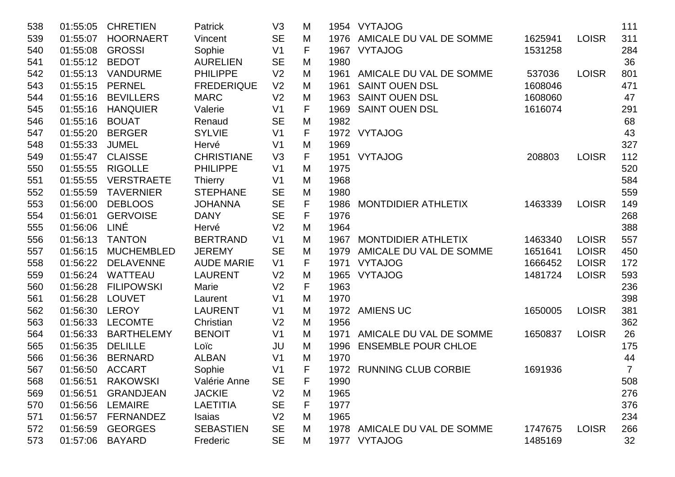| 538 | 01:55:05 | <b>CHRETIEN</b>   | <b>Patrick</b>    | V3             | M           |      | 1954 VYTAJOG                 |         |              | 111            |
|-----|----------|-------------------|-------------------|----------------|-------------|------|------------------------------|---------|--------------|----------------|
| 539 | 01:55:07 | <b>HOORNAERT</b>  | Vincent           | <b>SE</b>      | M           |      | 1976 AMICALE DU VAL DE SOMME | 1625941 | <b>LOISR</b> | 311            |
| 540 | 01:55:08 | <b>GROSSI</b>     | Sophie            | V <sub>1</sub> | F           | 1967 | <b>VYTAJOG</b>               | 1531258 |              | 284            |
| 541 | 01:55:12 | <b>BEDOT</b>      | <b>AURELIEN</b>   | <b>SE</b>      | M           | 1980 |                              |         |              | 36             |
| 542 | 01:55:13 | <b>VANDURME</b>   | <b>PHILIPPE</b>   | V <sub>2</sub> | M           |      | 1961 AMICALE DU VAL DE SOMME | 537036  | <b>LOISR</b> | 801            |
| 543 | 01:55:15 | <b>PERNEL</b>     | <b>FREDERIQUE</b> | V <sub>2</sub> | M           | 1961 | <b>SAINT OUEN DSL</b>        | 1608046 |              | 471            |
| 544 | 01:55:16 | <b>BEVILLERS</b>  | <b>MARC</b>       | V <sub>2</sub> | M           | 1963 | <b>SAINT OUEN DSL</b>        | 1608060 |              | 47             |
| 545 | 01:55:16 | <b>HANQUIER</b>   | Valerie           | V <sub>1</sub> | F           | 1969 | <b>SAINT OUEN DSL</b>        | 1616074 |              | 291            |
| 546 | 01:55:16 | <b>BOUAT</b>      | Renaud            | <b>SE</b>      | M           | 1982 |                              |         |              | 68             |
| 547 | 01:55:20 | <b>BERGER</b>     | <b>SYLVIE</b>     | V <sub>1</sub> | $\mathsf F$ |      | 1972 VYTAJOG                 |         |              | 43             |
| 548 | 01:55:33 | <b>JUMEL</b>      | Hervé             | V <sub>1</sub> | M           | 1969 |                              |         |              | 327            |
| 549 | 01:55:47 | <b>CLAISSE</b>    | <b>CHRISTIANE</b> | V3             | F           |      | 1951 VYTAJOG                 | 208803  | <b>LOISR</b> | 112            |
| 550 | 01:55:55 | <b>RIGOLLE</b>    | <b>PHILIPPE</b>   | V <sub>1</sub> | M           | 1975 |                              |         |              | 520            |
| 551 | 01:55:55 | <b>VERSTRAETE</b> | <b>Thierry</b>    | V <sub>1</sub> | M           | 1968 |                              |         |              | 584            |
| 552 | 01:55:59 | <b>TAVERNIER</b>  | <b>STEPHANE</b>   | <b>SE</b>      | M           | 1980 |                              |         |              | 559            |
| 553 | 01:56:00 | <b>DEBLOOS</b>    | <b>JOHANNA</b>    | <b>SE</b>      | F           | 1986 | <b>MONTDIDIER ATHLETIX</b>   | 1463339 | <b>LOISR</b> | 149            |
| 554 | 01:56:01 | <b>GERVOISE</b>   | <b>DANY</b>       | <b>SE</b>      | F           | 1976 |                              |         |              | 268            |
| 555 | 01:56:06 | LINÉ              | Hervé             | V <sub>2</sub> | M           | 1964 |                              |         |              | 388            |
| 556 | 01:56:13 | <b>TANTON</b>     | <b>BERTRAND</b>   | V <sub>1</sub> | M           | 1967 | <b>MONTDIDIER ATHLETIX</b>   | 1463340 | <b>LOISR</b> | 557            |
| 557 | 01:56:15 | <b>MUCHEMBLED</b> | <b>JEREMY</b>     | <b>SE</b>      | M           | 1979 | AMICALE DU VAL DE SOMME      | 1651641 | <b>LOISR</b> | 450            |
| 558 | 01:56:22 | <b>DELAVENNE</b>  | <b>AUDE MARIE</b> | V <sub>1</sub> | F           |      | 1971 VYTAJOG                 | 1666452 | <b>LOISR</b> | 172            |
| 559 | 01:56:24 | WATTEAU           | <b>LAURENT</b>    | V <sub>2</sub> | M           | 1965 | <b>VYTAJOG</b>               | 1481724 | <b>LOISR</b> | 593            |
| 560 | 01:56:28 | <b>FILIPOWSKI</b> | Marie             | V <sub>2</sub> | F           | 1963 |                              |         |              | 236            |
| 561 | 01:56:28 | <b>LOUVET</b>     | Laurent           | V <sub>1</sub> | M           | 1970 |                              |         |              | 398            |
| 562 | 01:56:30 | <b>LEROY</b>      | <b>LAURENT</b>    | V <sub>1</sub> | M           | 1972 | <b>AMIENS UC</b>             | 1650005 | <b>LOISR</b> | 381            |
| 563 | 01:56:33 | <b>LECOMTE</b>    | Christian         | V <sub>2</sub> | M           | 1956 |                              |         |              | 362            |
| 564 | 01:56:33 | <b>BARTHELEMY</b> | <b>BENOIT</b>     | V <sub>1</sub> | M           | 1971 | AMICALE DU VAL DE SOMME      | 1650837 | <b>LOISR</b> | 26             |
| 565 | 01:56:35 | <b>DELILLE</b>    | Loïc              | JU             | M           | 1996 | <b>ENSEMBLE POUR CHLOE</b>   |         |              | 175            |
| 566 | 01:56:36 | <b>BERNARD</b>    | <b>ALBAN</b>      | V <sub>1</sub> | M           | 1970 |                              |         |              | 44             |
| 567 | 01:56:50 | <b>ACCART</b>     | Sophie            | V <sub>1</sub> | $\mathsf F$ |      | 1972 RUNNING CLUB CORBIE     | 1691936 |              | $\overline{7}$ |
| 568 |          | 01:56:51 RAKOWSKI | Valérie Anne      | <b>SE</b>      | F.          | 1990 |                              |         |              | 508            |
| 569 | 01:56:51 | <b>GRANDJEAN</b>  | <b>JACKIE</b>     | V <sub>2</sub> | М           | 1965 |                              |         |              | 276            |
| 570 | 01:56:56 | <b>LEMAIRE</b>    | <b>LAETITIA</b>   | <b>SE</b>      | F           | 1977 |                              |         |              | 376            |
| 571 | 01:56:57 | <b>FERNANDEZ</b>  | <b>Isaias</b>     | V <sub>2</sub> | M           | 1965 |                              |         |              | 234            |
| 572 | 01:56:59 | <b>GEORGES</b>    | <b>SEBASTIEN</b>  | <b>SE</b>      | M           | 1978 | AMICALE DU VAL DE SOMME      | 1747675 | <b>LOISR</b> | 266            |
| 573 | 01:57:06 | <b>BAYARD</b>     | Frederic          | <b>SE</b>      | M           | 1977 | <b>VYTAJOG</b>               | 1485169 |              | 32             |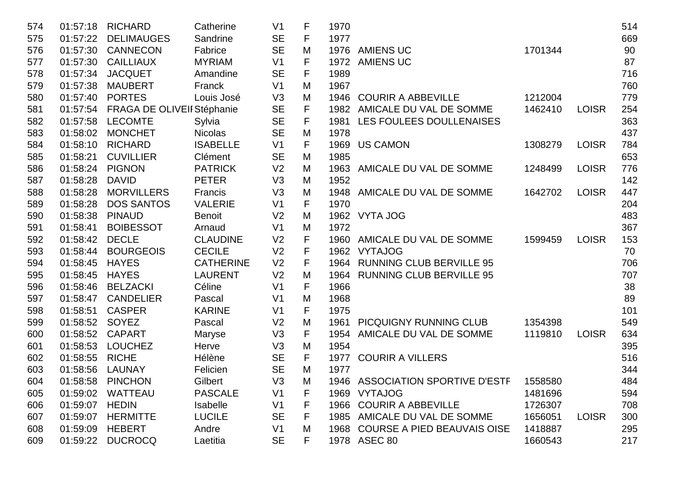| 574 | 01:57:18 | <b>RICHARD</b>             | Catherine        | V <sub>1</sub> | F | 1970 |                                    |         |              | 514 |
|-----|----------|----------------------------|------------------|----------------|---|------|------------------------------------|---------|--------------|-----|
| 575 | 01:57:22 | <b>DELIMAUGES</b>          | Sandrine         | <b>SE</b>      | F | 1977 |                                    |         |              | 669 |
| 576 | 01:57:30 | <b>CANNECON</b>            | Fabrice          | <b>SE</b>      | M |      | 1976 AMIENS UC                     | 1701344 |              | 90  |
| 577 | 01:57:30 | <b>CAILLIAUX</b>           | <b>MYRIAM</b>    | V <sub>1</sub> | F | 1972 | <b>AMIENS UC</b>                   |         |              | 87  |
| 578 | 01:57:34 | <b>JACQUET</b>             | Amandine         | <b>SE</b>      | F | 1989 |                                    |         |              | 716 |
| 579 | 01:57:38 | <b>MAUBERT</b>             | Franck           | V <sub>1</sub> | M | 1967 |                                    |         |              | 760 |
| 580 | 01:57:40 | <b>PORTES</b>              | Louis José       | V3             | M | 1946 | <b>COURIR A ABBEVILLE</b>          | 1212004 |              | 779 |
| 581 | 01:57:54 | FRAGA DE OLIVEII Stéphanie |                  | <b>SE</b>      | F |      | 1982 AMICALE DU VAL DE SOMME       | 1462410 | <b>LOISR</b> | 254 |
| 582 | 01:57:58 | <b>LECOMTE</b>             | Sylvia           | <b>SE</b>      | F |      | 1981 LES FOULEES DOULLENAISES      |         |              | 363 |
| 583 | 01:58:02 | <b>MONCHET</b>             | <b>Nicolas</b>   | <b>SE</b>      | M | 1978 |                                    |         |              | 437 |
| 584 | 01:58:10 | <b>RICHARD</b>             | <b>ISABELLE</b>  | V <sub>1</sub> | F | 1969 | <b>US CAMON</b>                    | 1308279 | <b>LOISR</b> | 784 |
| 585 | 01:58:21 | <b>CUVILLIER</b>           | Clément          | <b>SE</b>      | M | 1985 |                                    |         |              | 653 |
| 586 | 01:58:24 | <b>PIGNON</b>              | <b>PATRICK</b>   | V <sub>2</sub> | M | 1963 | AMICALE DU VAL DE SOMME            | 1248499 | <b>LOISR</b> | 776 |
| 587 | 01:58:28 | <b>DAVID</b>               | <b>PETER</b>     | V3             | M | 1952 |                                    |         |              | 142 |
| 588 | 01:58:28 | <b>MORVILLERS</b>          | Francis          | V3             | M | 1948 | AMICALE DU VAL DE SOMME            | 1642702 | <b>LOISR</b> | 447 |
| 589 | 01:58:28 | <b>DOS SANTOS</b>          | <b>VALERIE</b>   | V <sub>1</sub> | F | 1970 |                                    |         |              | 204 |
| 590 | 01:58:38 | <b>PINAUD</b>              | <b>Benoit</b>    | V <sub>2</sub> | M |      | 1962 VYTA JOG                      |         |              | 483 |
| 591 | 01:58:41 | <b>BOIBESSOT</b>           | Arnaud           | V <sub>1</sub> | M | 1972 |                                    |         |              | 367 |
| 592 | 01:58:42 | <b>DECLE</b>               | <b>CLAUDINE</b>  | V <sub>2</sub> | F | 1960 | AMICALE DU VAL DE SOMME            | 1599459 | <b>LOISR</b> | 153 |
| 593 | 01:58:44 | <b>BOURGEOIS</b>           | <b>CECILE</b>    | V <sub>2</sub> | F | 1962 | <b>VYTAJOG</b>                     |         |              | 70  |
| 594 | 01:58:45 | <b>HAYES</b>               | <b>CATHERINE</b> | V <sub>2</sub> | F |      | 1964 RUNNING CLUB BERVILLE 95      |         |              | 706 |
| 595 | 01:58:45 | <b>HAYES</b>               | <b>LAURENT</b>   | V <sub>2</sub> | M |      | 1964 RUNNING CLUB BERVILLE 95      |         |              | 707 |
| 596 | 01:58:46 | <b>BELZACKI</b>            | Céline           | V <sub>1</sub> | F | 1966 |                                    |         |              | 38  |
| 597 | 01:58:47 | <b>CANDELIER</b>           | Pascal           | V <sub>1</sub> | M | 1968 |                                    |         |              | 89  |
| 598 | 01:58:51 | <b>CASPER</b>              | <b>KARINE</b>    | V <sub>1</sub> | F | 1975 |                                    |         |              | 101 |
| 599 | 01:58:52 | SOYEZ                      | Pascal           | V <sub>2</sub> | M | 1961 | PICQUIGNY RUNNING CLUB             | 1354398 |              | 549 |
| 600 | 01:58:52 | <b>CAPART</b>              | Maryse           | V3             | F | 1954 | AMICALE DU VAL DE SOMME            | 1119810 | <b>LOISR</b> | 634 |
| 601 | 01:58:53 | <b>LOUCHEZ</b>             | Herve            | V3             | M | 1954 |                                    |         |              | 395 |
| 602 | 01:58:55 | <b>RICHE</b>               | Hélène           | <b>SE</b>      | F | 1977 | <b>COURIR A VILLERS</b>            |         |              | 516 |
| 603 | 01:58:56 | LAUNAY                     | Felicien         | <b>SE</b>      | M | 1977 |                                    |         |              | 344 |
| 604 |          | 01:58:58 PINCHON           | Gilbert          | V3             | M |      | 1946 ASSOCIATION SPORTIVE D'ESTF   | 1558580 |              | 484 |
| 605 | 01:59:02 | <b>WATTEAU</b>             | <b>PASCALE</b>   | V <sub>1</sub> | F | 1969 | <b>VYTAJOG</b>                     | 1481696 |              | 594 |
| 606 | 01:59:07 | <b>HEDIN</b>               | Isabelle         | V <sub>1</sub> | F | 1966 | <b>COURIR A ABBEVILLE</b>          | 1726307 |              | 708 |
| 607 | 01:59:07 | <b>HERMITTE</b>            | <b>LUCILE</b>    | <b>SE</b>      | F |      | 1985 AMICALE DU VAL DE SOMME       | 1656051 | <b>LOISR</b> | 300 |
| 608 | 01:59:09 | <b>HEBERT</b>              | Andre            | V <sub>1</sub> | M | 1968 | <b>COURSE A PIED BEAUVAIS OISE</b> | 1418887 |              | 295 |
| 609 | 01:59:22 | <b>DUCROCQ</b>             | Laetitia         | <b>SE</b>      | F |      | 1978 ASEC 80                       | 1660543 |              | 217 |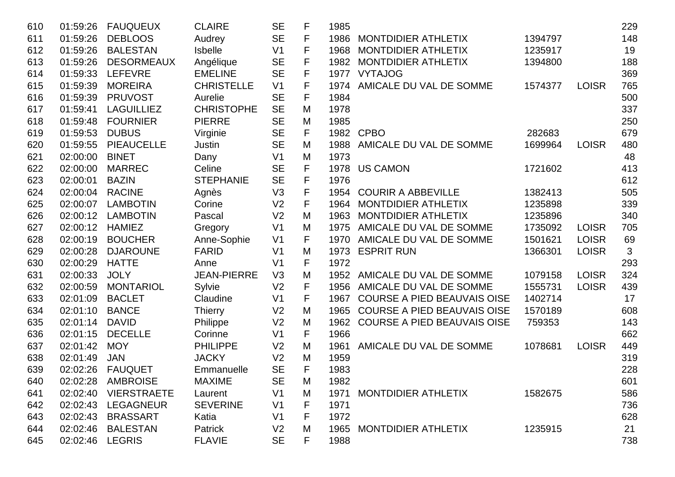| 610 | 01:59:26 | <b>FAUQUEUX</b>    | <b>CLAIRE</b>      | <b>SE</b>      | F | 1985 |                                    |         |              | 229 |
|-----|----------|--------------------|--------------------|----------------|---|------|------------------------------------|---------|--------------|-----|
| 611 | 01:59:26 | <b>DEBLOOS</b>     | Audrey             | <b>SE</b>      | F | 1986 | <b>MONTDIDIER ATHLETIX</b>         | 1394797 |              | 148 |
| 612 | 01:59:26 | <b>BALESTAN</b>    | <b>Isbelle</b>     | V <sub>1</sub> | F | 1968 | MONTDIDIER ATHLETIX                | 1235917 |              | 19  |
| 613 | 01:59:26 | <b>DESORMEAUX</b>  | Angélique          | <b>SE</b>      | F | 1982 | <b>MONTDIDIER ATHLETIX</b>         | 1394800 |              | 188 |
| 614 | 01:59:33 | <b>LEFEVRE</b>     | <b>EMELINE</b>     | <b>SE</b>      | F | 1977 | <b>VYTAJOG</b>                     |         |              | 369 |
| 615 | 01:59:39 | <b>MOREIRA</b>     | <b>CHRISTELLE</b>  | V <sub>1</sub> | F | 1974 | AMICALE DU VAL DE SOMME            | 1574377 | <b>LOISR</b> | 765 |
| 616 | 01:59:39 | <b>PRUVOST</b>     | Aurelie            | <b>SE</b>      | F | 1984 |                                    |         |              | 500 |
| 617 | 01:59:41 | <b>LAGUILLIEZ</b>  | <b>CHRISTOPHE</b>  | <b>SE</b>      | M | 1978 |                                    |         |              | 337 |
| 618 | 01:59:48 | <b>FOURNIER</b>    | <b>PIERRE</b>      | <b>SE</b>      | M | 1985 |                                    |         |              | 250 |
| 619 | 01:59:53 | <b>DUBUS</b>       | Virginie           | <b>SE</b>      | F | 1982 | <b>CPBO</b>                        | 282683  |              | 679 |
| 620 | 01:59:55 | <b>PIEAUCELLE</b>  | Justin             | <b>SE</b>      | M | 1988 | AMICALE DU VAL DE SOMME            | 1699964 | <b>LOISR</b> | 480 |
| 621 | 02:00:00 | <b>BINET</b>       | Dany               | V <sub>1</sub> | M | 1973 |                                    |         |              | 48  |
| 622 | 02:00:00 | <b>MARREC</b>      | Celine             | <b>SE</b>      | F | 1978 | <b>US CAMON</b>                    | 1721602 |              | 413 |
| 623 | 02:00:01 | <b>BAZIN</b>       | <b>STEPHANIE</b>   | <b>SE</b>      | F | 1976 |                                    |         |              | 612 |
| 624 | 02:00:04 | <b>RACINE</b>      | Agnès              | V <sub>3</sub> | F | 1954 | <b>COURIR A ABBEVILLE</b>          | 1382413 |              | 505 |
| 625 | 02:00:07 | <b>LAMBOTIN</b>    | Corine             | V <sub>2</sub> | F | 1964 | <b>MONTDIDIER ATHLETIX</b>         | 1235898 |              | 339 |
| 626 | 02:00:12 | <b>LAMBOTIN</b>    | Pascal             | V <sub>2</sub> | M | 1963 | <b>MONTDIDIER ATHLETIX</b>         | 1235896 |              | 340 |
| 627 | 02:00:12 | <b>HAMIEZ</b>      | Gregory            | V <sub>1</sub> | M | 1975 | AMICALE DU VAL DE SOMME            | 1735092 | <b>LOISR</b> | 705 |
| 628 | 02:00:19 | <b>BOUCHER</b>     | Anne-Sophie        | V <sub>1</sub> | F | 1970 | AMICALE DU VAL DE SOMME            | 1501621 | <b>LOISR</b> | 69  |
| 629 | 02:00:28 | <b>DJAROUNE</b>    | <b>FARID</b>       | V <sub>1</sub> | M | 1973 | <b>ESPRIT RUN</b>                  | 1366301 | <b>LOISR</b> | 3   |
| 630 | 02:00:29 | <b>HATTE</b>       | Anne               | V <sub>1</sub> | F | 1972 |                                    |         |              | 293 |
| 631 | 02:00:33 | <b>JOLY</b>        | <b>JEAN-PIERRE</b> | V <sub>3</sub> | M | 1952 | AMICALE DU VAL DE SOMME            | 1079158 | <b>LOISR</b> | 324 |
| 632 | 02:00:59 | <b>MONTARIOL</b>   | Sylvie             | V <sub>2</sub> | F | 1956 | AMICALE DU VAL DE SOMME            | 1555731 | <b>LOISR</b> | 439 |
| 633 | 02:01:09 | <b>BACLET</b>      | Claudine           | V <sub>1</sub> | F | 1967 | <b>COURSE A PIED BEAUVAIS OISE</b> | 1402714 |              | 17  |
| 634 | 02:01:10 | <b>BANCE</b>       | Thierry            | V <sub>2</sub> | M | 1965 | <b>COURSE A PIED BEAUVAIS OISE</b> | 1570189 |              | 608 |
| 635 | 02:01:14 | <b>DAVID</b>       | Philippe           | V <sub>2</sub> | M | 1962 | <b>COURSE A PIED BEAUVAIS OISE</b> | 759353  |              | 143 |
| 636 | 02:01:15 | <b>DECELLE</b>     | Corinne            | V <sub>1</sub> | F | 1966 |                                    |         |              | 662 |
| 637 | 02:01:42 | <b>MOY</b>         | <b>PHILIPPE</b>    | V <sub>2</sub> | M | 1961 | AMICALE DU VAL DE SOMME            | 1078681 | <b>LOISR</b> | 449 |
| 638 | 02:01:49 | <b>JAN</b>         | <b>JACKY</b>       | V <sub>2</sub> | M | 1959 |                                    |         |              | 319 |
| 639 | 02:02:26 | <b>FAUQUET</b>     | Emmanuelle         | <b>SE</b>      | F | 1983 |                                    |         |              | 228 |
| 640 | 02:02:28 | <b>AMBROISE</b>    | <b>MAXIME</b>      | <b>SE</b>      | M | 1982 |                                    |         |              | 601 |
| 641 | 02:02:40 | <b>VIERSTRAETE</b> | Laurent            | V <sub>1</sub> | M | 1971 | <b>MONTDIDIER ATHLETIX</b>         | 1582675 |              | 586 |
| 642 | 02:02:43 | <b>LEGAGNEUR</b>   | <b>SEVERINE</b>    | V <sub>1</sub> | F | 1971 |                                    |         |              | 736 |
| 643 | 02:02:43 | <b>BRASSART</b>    | Katia              | V <sub>1</sub> | F | 1972 |                                    |         |              | 628 |
| 644 | 02:02:46 | <b>BALESTAN</b>    | <b>Patrick</b>     | V <sub>2</sub> | M | 1965 | <b>MONTDIDIER ATHLETIX</b>         | 1235915 |              | 21  |
| 645 | 02:02:46 | <b>LEGRIS</b>      | <b>FLAVIE</b>      | <b>SE</b>      | F | 1988 |                                    |         |              | 738 |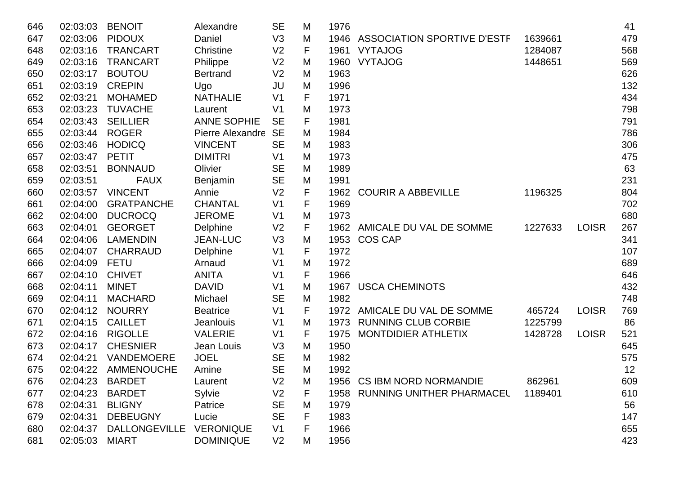| 646 | 02:03:03 | <b>BENOIT</b>        | Alexandre          | <b>SE</b>      | M | 1976 |                                    |         |              | 41  |
|-----|----------|----------------------|--------------------|----------------|---|------|------------------------------------|---------|--------------|-----|
| 647 | 02:03:06 | <b>PIDOUX</b>        | Daniel             | V3             | M | 1946 | <b>ASSOCIATION SPORTIVE D'ESTF</b> | 1639661 |              | 479 |
| 648 | 02:03:16 | <b>TRANCART</b>      | Christine          | V <sub>2</sub> | F | 1961 | <b>VYTAJOG</b>                     | 1284087 |              | 568 |
| 649 | 02:03:16 | <b>TRANCART</b>      | Philippe           | V <sub>2</sub> | M | 1960 | <b>VYTAJOG</b>                     | 1448651 |              | 569 |
| 650 | 02:03:17 | <b>BOUTOU</b>        | <b>Bertrand</b>    | V <sub>2</sub> | M | 1963 |                                    |         |              | 626 |
| 651 | 02:03:19 | <b>CREPIN</b>        | Ugo                | JU             | M | 1996 |                                    |         |              | 132 |
| 652 | 02:03:21 | <b>MOHAMED</b>       | <b>NATHALIE</b>    | V <sub>1</sub> | F | 1971 |                                    |         |              | 434 |
| 653 | 02:03:23 | <b>TUVACHE</b>       | Laurent            | V <sub>1</sub> | M | 1973 |                                    |         |              | 798 |
| 654 | 02:03:43 | <b>SEILLIER</b>      | <b>ANNE SOPHIE</b> | <b>SE</b>      | F | 1981 |                                    |         |              | 791 |
| 655 | 02:03:44 | <b>ROGER</b>         | Pierre Alexandre   | <b>SE</b>      | M | 1984 |                                    |         |              | 786 |
| 656 | 02:03:46 | <b>HODICQ</b>        | <b>VINCENT</b>     | <b>SE</b>      | M | 1983 |                                    |         |              | 306 |
| 657 | 02:03:47 | <b>PETIT</b>         | <b>DIMITRI</b>     | V <sub>1</sub> | M | 1973 |                                    |         |              | 475 |
| 658 | 02:03:51 | <b>BONNAUD</b>       | Olivier            | <b>SE</b>      | M | 1989 |                                    |         |              | 63  |
| 659 | 02:03:51 | <b>FAUX</b>          | Benjamin           | <b>SE</b>      | M | 1991 |                                    |         |              | 231 |
| 660 | 02:03:57 | <b>VINCENT</b>       | Annie              | V <sub>2</sub> | F | 1962 | <b>COURIR A ABBEVILLE</b>          | 1196325 |              | 804 |
| 661 | 02:04:00 | <b>GRATPANCHE</b>    | <b>CHANTAL</b>     | V <sub>1</sub> | F | 1969 |                                    |         |              | 702 |
| 662 | 02:04:00 | <b>DUCROCQ</b>       | <b>JEROME</b>      | V <sub>1</sub> | M | 1973 |                                    |         |              | 680 |
| 663 | 02:04:01 | <b>GEORGET</b>       | Delphine           | V <sub>2</sub> | F | 1962 | AMICALE DU VAL DE SOMME            | 1227633 | <b>LOISR</b> | 267 |
| 664 | 02:04:06 | <b>LAMENDIN</b>      | <b>JEAN-LUC</b>    | V3             | M | 1953 | <b>COS CAP</b>                     |         |              | 341 |
| 665 | 02:04:07 | <b>CHARRAUD</b>      | Delphine           | V <sub>1</sub> | F | 1972 |                                    |         |              | 107 |
| 666 | 02:04:09 | <b>FETU</b>          | Arnaud             | V <sub>1</sub> | M | 1972 |                                    |         |              | 689 |
| 667 | 02:04:10 | <b>CHIVET</b>        | <b>ANITA</b>       | V <sub>1</sub> | F | 1966 |                                    |         |              | 646 |
| 668 | 02:04:11 | <b>MINET</b>         | <b>DAVID</b>       | V <sub>1</sub> | M | 1967 | <b>USCA CHEMINOTS</b>              |         |              | 432 |
| 669 | 02:04:11 | <b>MACHARD</b>       | Michael            | <b>SE</b>      | M | 1982 |                                    |         |              | 748 |
| 670 | 02:04:12 | <b>NOURRY</b>        | <b>Beatrice</b>    | V <sub>1</sub> | F | 1972 | AMICALE DU VAL DE SOMME            | 465724  | <b>LOISR</b> | 769 |
| 671 | 02:04:15 | <b>CAILLET</b>       | <b>Jeanlouis</b>   | V <sub>1</sub> | M | 1973 | <b>RUNNING CLUB CORBIE</b>         | 1225799 |              | 86  |
| 672 | 02:04:16 | <b>RIGOLLE</b>       | <b>VALERIE</b>     | V <sub>1</sub> | F | 1975 | MONTDIDIER ATHLETIX                | 1428728 | <b>LOISR</b> | 521 |
| 673 | 02:04:17 | <b>CHESNIER</b>      | Jean Louis         | V3             | M | 1950 |                                    |         |              | 645 |
| 674 | 02:04:21 | VANDEMOERE           | <b>JOEL</b>        | <b>SE</b>      | M | 1982 |                                    |         |              | 575 |
| 675 | 02:04:22 | AMMENOUCHE           | Amine              | <b>SE</b>      | M | 1992 |                                    |         |              | 12  |
| 676 | 02:04:23 | <b>BARDET</b>        | Laurent            | V <sub>2</sub> | M |      | 1956 CS IBM NORD NORMANDIE         | 862961  |              | 609 |
| 677 | 02:04:23 | <b>BARDET</b>        | Sylvie             | V <sub>2</sub> | F | 1958 | <b>RUNNING UNITHER PHARMACEL</b>   | 1189401 |              | 610 |
| 678 | 02:04:31 | <b>BLIGNY</b>        | Patrice            | <b>SE</b>      | M | 1979 |                                    |         |              | 56  |
| 679 | 02:04:31 | <b>DEBEUGNY</b>      | Lucie              | <b>SE</b>      | F | 1983 |                                    |         |              | 147 |
| 680 | 02:04:37 | <b>DALLONGEVILLE</b> | <b>VERONIQUE</b>   | V <sub>1</sub> | F | 1966 |                                    |         |              | 655 |
| 681 | 02:05:03 | <b>MIART</b>         | <b>DOMINIQUE</b>   | V <sub>2</sub> | M | 1956 |                                    |         |              | 423 |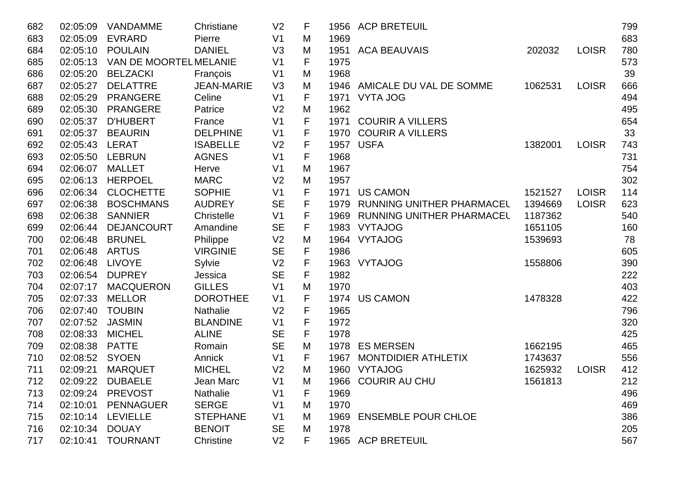| 682 | 02:05:09 | <b>VANDAMME</b>        | Christiane        | V <sub>2</sub> | F           |      | 1956 ACP BRETEUIL              |         |              | 799 |
|-----|----------|------------------------|-------------------|----------------|-------------|------|--------------------------------|---------|--------------|-----|
| 683 | 02:05:09 | <b>EVRARD</b>          | Pierre            | V <sub>1</sub> | M           | 1969 |                                |         |              | 683 |
| 684 | 02:05:10 | <b>POULAIN</b>         | <b>DANIEL</b>     | V <sub>3</sub> | M           |      | 1951 ACA BEAUVAIS              | 202032  | <b>LOISR</b> | 780 |
| 685 | 02:05:13 | VAN DE MOORTEL MELANIE |                   | V <sub>1</sub> | F           | 1975 |                                |         |              | 573 |
| 686 | 02:05:20 | <b>BELZACKI</b>        | François          | V <sub>1</sub> | M           | 1968 |                                |         |              | 39  |
| 687 | 02:05:27 | <b>DELATTRE</b>        | <b>JEAN-MARIE</b> | V3             | M           |      | 1946 AMICALE DU VAL DE SOMME   | 1062531 | <b>LOISR</b> | 666 |
| 688 | 02:05:29 | <b>PRANGERE</b>        | Celine            | V <sub>1</sub> | F           | 1971 | <b>VYTA JOG</b>                |         |              | 494 |
| 689 | 02:05:30 | <b>PRANGERE</b>        | Patrice           | V <sub>2</sub> | M           | 1962 |                                |         |              | 495 |
| 690 | 02:05:37 | <b>D'HUBERT</b>        | France            | V <sub>1</sub> | $\mathsf F$ |      | 1971 COURIR A VILLERS          |         |              | 654 |
| 691 | 02:05:37 | <b>BEAURIN</b>         | <b>DELPHINE</b>   | V <sub>1</sub> | F           |      | 1970 COURIR A VILLERS          |         |              | 33  |
| 692 | 02:05:43 | LERAT                  | <b>ISABELLE</b>   | V <sub>2</sub> | F           | 1957 | <b>USFA</b>                    | 1382001 | <b>LOISR</b> | 743 |
| 693 | 02:05:50 | <b>LEBRUN</b>          | <b>AGNES</b>      | V <sub>1</sub> | F           | 1968 |                                |         |              | 731 |
| 694 | 02:06:07 | <b>MALLET</b>          | Herve             | V <sub>1</sub> | M           | 1967 |                                |         |              | 754 |
| 695 | 02:06:13 | <b>HERPOEL</b>         | <b>MARC</b>       | V <sub>2</sub> | M           | 1957 |                                |         |              | 302 |
| 696 | 02:06:34 | <b>CLOCHETTE</b>       | <b>SOPHIE</b>     | V <sub>1</sub> | F           | 1971 | <b>US CAMON</b>                | 1521527 | <b>LOISR</b> | 114 |
| 697 | 02:06:38 | <b>BOSCHMANS</b>       | <b>AUDREY</b>     | <b>SE</b>      | F           | 1979 | RUNNING UNITHER PHARMACEL      | 1394669 | <b>LOISR</b> | 623 |
| 698 | 02:06:38 | <b>SANNIER</b>         | Christelle        | V <sub>1</sub> | F           |      | 1969 RUNNING UNITHER PHARMACEL | 1187362 |              | 540 |
| 699 | 02:06:44 | <b>DEJANCOURT</b>      | Amandine          | <b>SE</b>      | F           |      | 1983 VYTAJOG                   | 1651105 |              | 160 |
| 700 | 02:06:48 | <b>BRUNEL</b>          | Philippe          | V <sub>2</sub> | M           |      | 1964 VYTAJOG                   | 1539693 |              | 78  |
| 701 | 02:06:48 | <b>ARTUS</b>           | <b>VIRGINIE</b>   | <b>SE</b>      | F           | 1986 |                                |         |              | 605 |
| 702 | 02:06:48 | <b>LIVOYE</b>          | Sylvie            | V <sub>2</sub> | $\mathsf F$ |      | 1963 VYTAJOG                   | 1558806 |              | 390 |
| 703 | 02:06:54 | <b>DUPREY</b>          | Jessica           | <b>SE</b>      | $\mathsf F$ | 1982 |                                |         |              | 222 |
| 704 | 02:07:17 | <b>MACQUERON</b>       | <b>GILLES</b>     | V <sub>1</sub> | M           | 1970 |                                |         |              | 403 |
| 705 | 02:07:33 | <b>MELLOR</b>          | <b>DOROTHEE</b>   | V <sub>1</sub> | F           | 1974 | <b>US CAMON</b>                | 1478328 |              | 422 |
| 706 | 02:07:40 | <b>TOUBIN</b>          | Nathalie          | V <sub>2</sub> | F           | 1965 |                                |         |              | 796 |
| 707 | 02:07:52 | <b>JASMIN</b>          | <b>BLANDINE</b>   | V <sub>1</sub> | F           | 1972 |                                |         |              | 320 |
| 708 | 02:08:33 | <b>MICHEL</b>          | <b>ALINE</b>      | <b>SE</b>      | F           | 1978 |                                |         |              | 425 |
| 709 | 02:08:38 | <b>PATTE</b>           | Romain            | <b>SE</b>      | M           | 1978 | <b>ES MERSEN</b>               | 1662195 |              | 465 |
| 710 | 02:08:52 | <b>SYOEN</b>           | Annick            | V <sub>1</sub> | F           | 1967 | <b>MONTDIDIER ATHLETIX</b>     | 1743637 |              | 556 |
| 711 | 02:09:21 | <b>MARQUET</b>         | <b>MICHEL</b>     | V <sub>2</sub> | M           |      | 1960 VYTAJOG                   | 1625932 | <b>LOISR</b> | 412 |
| 712 |          | 02:09:22 DUBAELE       | Jean Marc         | V <sub>1</sub> | M           |      | 1966 COURIR AU CHU             | 1561813 |              | 212 |
| 713 | 02:09:24 | <b>PREVOST</b>         | <b>Nathalie</b>   | V <sub>1</sub> | F           | 1969 |                                |         |              | 496 |
| 714 | 02:10:01 | <b>PENNAGUER</b>       | <b>SERGE</b>      | V <sub>1</sub> | M           | 1970 |                                |         |              | 469 |
| 715 | 02:10:14 | <b>LEVIELLE</b>        | <b>STEPHANE</b>   | V <sub>1</sub> | M           |      | 1969 ENSEMBLE POUR CHLOE       |         |              | 386 |
| 716 | 02:10:34 | <b>DOUAY</b>           | <b>BENOIT</b>     | <b>SE</b>      | M           | 1978 |                                |         |              | 205 |
| 717 | 02:10:41 | <b>TOURNANT</b>        | Christine         | V <sub>2</sub> | F.          |      | 1965 ACP BRETEUIL              |         |              | 567 |